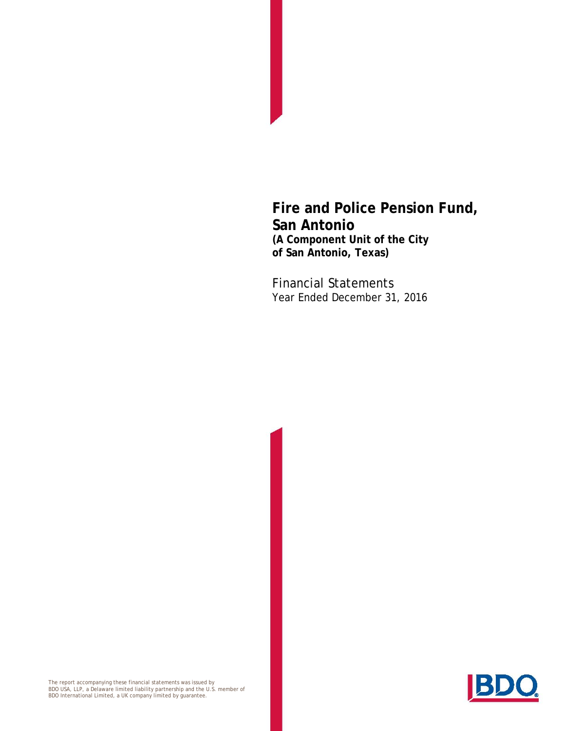Financial Statements Year Ended December 31, 2016

The report accompanying these financial statements was issued by<br>BDO USA, LLP, a Delaware limited liability partnership and the U.S. member of<br>BDO International Limited, a UK company limited by guarantee.

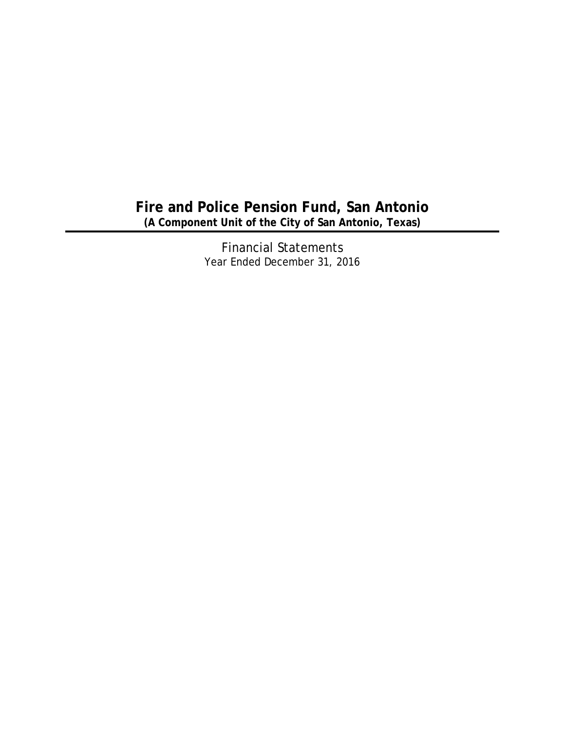Financial Statements Year Ended December 31, 2016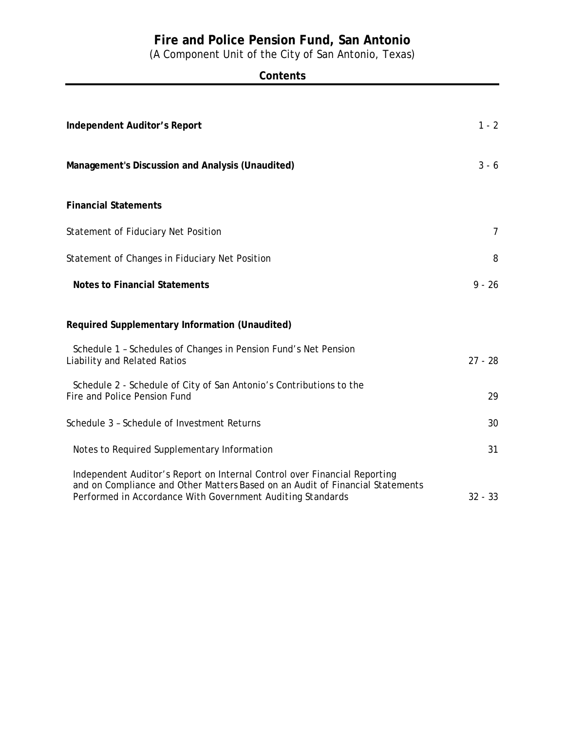(A Component Unit of the City of San Antonio, Texas)

| Independent Auditor's Report                                                                                                                                                                                             | $1 - 2$        |
|--------------------------------------------------------------------------------------------------------------------------------------------------------------------------------------------------------------------------|----------------|
| Management's Discussion and Analysis (Unaudited)                                                                                                                                                                         | $3 - 6$        |
| <b>Financial Statements</b>                                                                                                                                                                                              |                |
| Statement of Fiduciary Net Position                                                                                                                                                                                      | $\overline{7}$ |
| Statement of Changes in Fiduciary Net Position                                                                                                                                                                           | 8              |
| <b>Notes to Financial Statements</b>                                                                                                                                                                                     | $9 - 26$       |
| Required Supplementary Information (Unaudited)                                                                                                                                                                           |                |
| Schedule 1 - Schedules of Changes in Pension Fund's Net Pension<br>Liability and Related Ratios                                                                                                                          | $27 - 28$      |
| Schedule 2 - Schedule of City of San Antonio's Contributions to the<br>Fire and Police Pension Fund                                                                                                                      | 29             |
| Schedule 3 - Schedule of Investment Returns                                                                                                                                                                              | 30             |
| Notes to Required Supplementary Information                                                                                                                                                                              | 31             |
| Independent Auditor's Report on Internal Control over Financial Reporting<br>and on Compliance and Other Matters Based on an Audit of Financial Statements<br>Performed in Accordance With Government Auditing Standards | $32 - 33$      |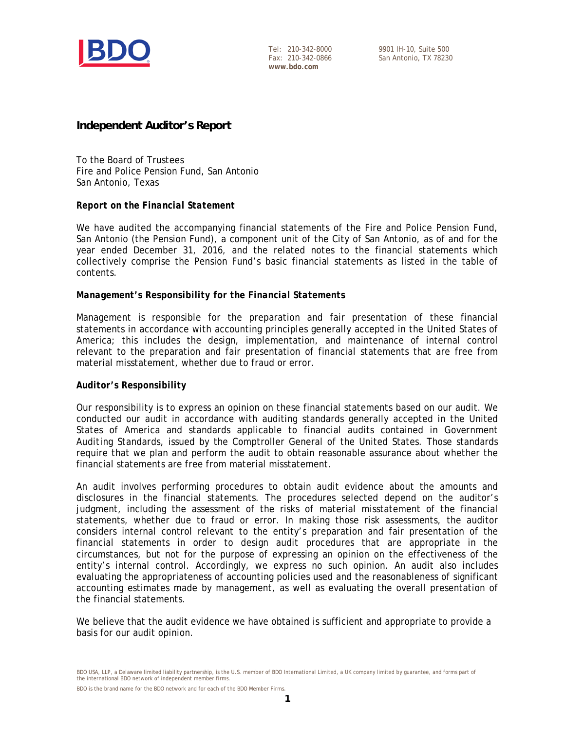

Tel: 210-342-8000 Fax: 210-342-0866 **www.bdo.com**

9901 IH-10, Suite 500 San Antonio, TX 78230

### **Independent Auditor's Report**

To the Board of Trustees Fire and Police Pension Fund, San Antonio San Antonio, Texas

#### *Report on the Financial Statement*

We have audited the accompanying financial statements of the Fire and Police Pension Fund, San Antonio (the Pension Fund), a component unit of the City of San Antonio, as of and for the year ended December 31, 2016, and the related notes to the financial statements which collectively comprise the Pension Fund's basic financial statements as listed in the table of contents.

#### *Management's Responsibility for the Financial Statements*

Management is responsible for the preparation and fair presentation of these financial statements in accordance with accounting principles generally accepted in the United States of America; this includes the design, implementation, and maintenance of internal control relevant to the preparation and fair presentation of financial statements that are free from material misstatement, whether due to fraud or error.

#### *Auditor's Responsibility*

Our responsibility is to express an opinion on these financial statements based on our audit. We conducted our audit in accordance with auditing standards generally accepted in the United States of America and standards applicable to financial audits contained in *Government Auditing Standards*, issued by the Comptroller General of the United States. Those standards require that we plan and perform the audit to obtain reasonable assurance about whether the financial statements are free from material misstatement.

An audit involves performing procedures to obtain audit evidence about the amounts and disclosures in the financial statements. The procedures selected depend on the auditor's judgment, including the assessment of the risks of material misstatement of the financial statements, whether due to fraud or error. In making those risk assessments, the auditor considers internal control relevant to the entity's preparation and fair presentation of the financial statements in order to design audit procedures that are appropriate in the circumstances, but not for the purpose of expressing an opinion on the effectiveness of the entity's internal control. Accordingly, we express no such opinion. An audit also includes evaluating the appropriateness of accounting policies used and the reasonableness of significant accounting estimates made by management, as well as evaluating the overall presentation of the financial statements.

We believe that the audit evidence we have obtained is sufficient and appropriate to provide a basis for our audit opinion.

BDO USA, LLP, a Delaware limited liability partnership, is the U.S. member of BDO International Limited, a UK company limited by guarantee, and forms part of the international BDO network of independent member firms.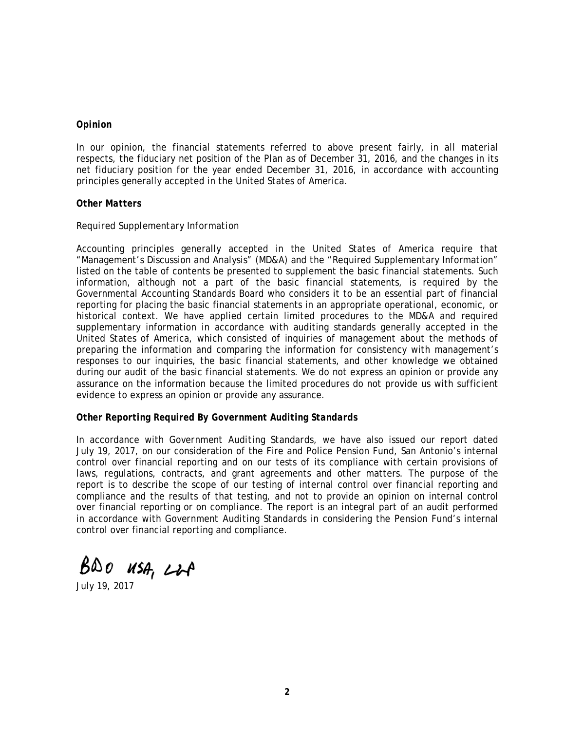#### *Opinion*

In our opinion, the financial statements referred to above present fairly, in all material respects, the fiduciary net position of the Plan as of December 31, 2016, and the changes in its net fiduciary position for the year ended December 31, 2016, in accordance with accounting principles generally accepted in the United States of America.

#### *Other Matters*

#### *Required Supplementary Information*

Accounting principles generally accepted in the United States of America require that "Management's Discussion and Analysis" (MD&A) and the "Required Supplementary Information" listed on the table of contents be presented to supplement the basic financial statements. Such information, although not a part of the basic financial statements, is required by the Governmental Accounting Standards Board who considers it to be an essential part of financial reporting for placing the basic financial statements in an appropriate operational, economic, or historical context. We have applied certain limited procedures to the MD&A and required supplementary information in accordance with auditing standards generally accepted in the United States of America, which consisted of inquiries of management about the methods of preparing the information and comparing the information for consistency with management's responses to our inquiries, the basic financial statements, and other knowledge we obtained during our audit of the basic financial statements. We do not express an opinion or provide any assurance on the information because the limited procedures do not provide us with sufficient evidence to express an opinion or provide any assurance.

#### *Other Reporting Required By Government Auditing Standards*

In accordance with *Government Auditing Standards*, we have also issued our report dated July 19, 2017, on our consideration of the Fire and Police Pension Fund, San Antonio's internal control over financial reporting and on our tests of its compliance with certain provisions of laws, regulations, contracts, and grant agreements and other matters. The purpose of the report is to describe the scope of our testing of internal control over financial reporting and compliance and the results of that testing, and not to provide an opinion on internal control over financial reporting or on compliance. The report is an integral part of an audit performed in accordance with *Government Auditing Standards* in considering the Pension Fund's internal control over financial reporting and compliance.

 $B\&0$  *usa*,  $2017$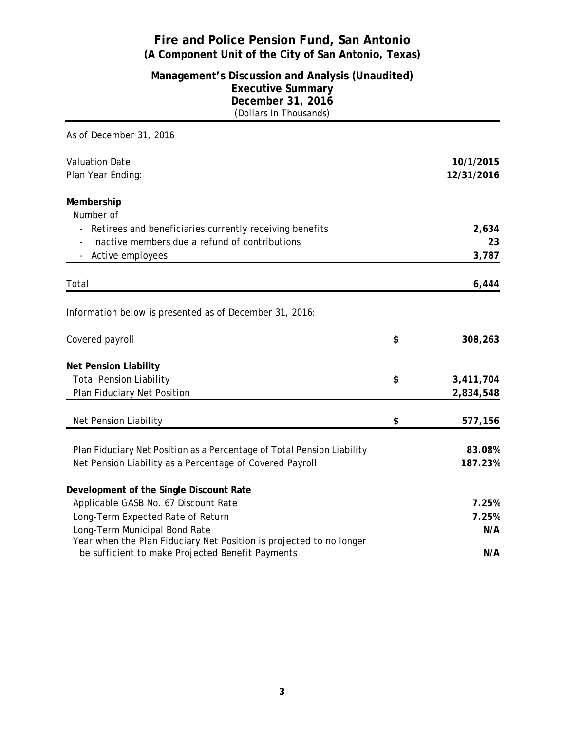### **Management's Discussion and Analysis (Unaudited) Executive Summary December 31, 2016** (Dollars In Thousands)

| As of December 31, 2016                                                |                 |
|------------------------------------------------------------------------|-----------------|
| <b>Valuation Date:</b>                                                 | 10/1/2015       |
| Plan Year Ending:                                                      | 12/31/2016      |
| Membership                                                             |                 |
| Number of                                                              |                 |
| Retirees and beneficiaries currently receiving benefits                | 2,634           |
| Inactive members due a refund of contributions                         | 23              |
| - Active employees                                                     | 3,787           |
| Total                                                                  | 6,444           |
|                                                                        |                 |
| Information below is presented as of December 31, 2016:                |                 |
| Covered payroll                                                        | \$<br>308,263   |
| <b>Net Pension Liability</b>                                           |                 |
| <b>Total Pension Liability</b>                                         | \$<br>3,411,704 |
| Plan Fiduciary Net Position                                            | 2,834,548       |
| Net Pension Liability                                                  | \$<br>577,156   |
|                                                                        |                 |
| Plan Fiduciary Net Position as a Percentage of Total Pension Liability | 83.08%          |
| Net Pension Liability as a Percentage of Covered Payroll               | 187.23%         |
| Development of the Single Discount Rate                                |                 |
| Applicable GASB No. 67 Discount Rate                                   | 7.25%           |
| Long-Term Expected Rate of Return                                      | 7.25%           |
| Long-Term Municipal Bond Rate                                          | N/A             |
| Year when the Plan Fiduciary Net Position is projected to no longer    |                 |
| be sufficient to make Projected Benefit Payments                       | N/A             |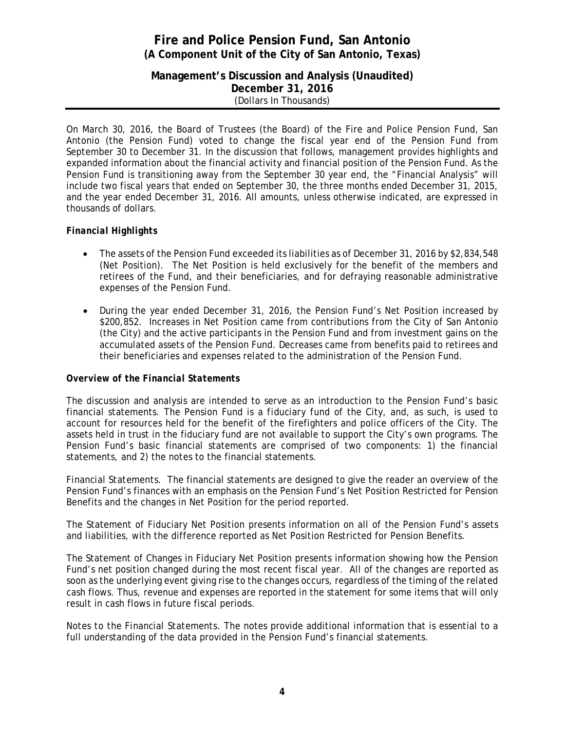**Management's Discussion and Analysis (Unaudited) December 31, 2016** (Dollars In Thousands)

On March 30, 2016, the Board of Trustees (the Board) of the Fire and Police Pension Fund, San Antonio (the Pension Fund) voted to change the fiscal year end of the Pension Fund from September 30 to December 31. In the discussion that follows, management provides highlights and expanded information about the financial activity and financial position of the Pension Fund. As the Pension Fund is transitioning away from the September 30 year end, the "Financial Analysis" will include two fiscal years that ended on September 30, the three months ended December 31, 2015, and the year ended December 31, 2016. All amounts, unless otherwise indicated, are expressed in thousands of dollars.

### *Financial Highlights*

- The assets of the Pension Fund exceeded its liabilities as of December 31, 2016 by \$2,834,548 (Net Position). The Net Position is held exclusively for the benefit of the members and retirees of the Fund, and their beneficiaries, and for defraying reasonable administrative expenses of the Pension Fund.
- During the year ended December 31, 2016, the Pension Fund's Net Position increased by \$200,852. Increases in Net Position came from contributions from the City of San Antonio (the City) and the active participants in the Pension Fund and from investment gains on the accumulated assets of the Pension Fund. Decreases came from benefits paid to retirees and their beneficiaries and expenses related to the administration of the Pension Fund.

#### *Overview of the Financial Statements*

The discussion and analysis are intended to serve as an introduction to the Pension Fund's basic financial statements. The Pension Fund is a *fiduciary fund* of the City, and, as such, is used to account for resources held for the benefit of the firefighters and police officers of the City. The assets held in trust in the fiduciary fund are not available to support the City's own programs. The Pension Fund's basic financial statements are comprised of two components: 1) the financial statements, and 2) the notes to the financial statements.

*Financial Statements.* The financial statements are designed to give the reader an overview of the Pension Fund's finances with an emphasis on the Pension Fund's Net Position Restricted for Pension Benefits and the changes in Net Position for the period reported.

The Statement of Fiduciary Net Position presents information on all of the Pension Fund's assets and liabilities, with the difference reported as Net Position Restricted for Pension Benefits.

The Statement of Changes in Fiduciary Net Position presents information showing how the Pension Fund's net position changed during the most recent fiscal year. All of the changes are reported as soon as the underlying event giving rise to the changes occurs, regardless of the timing of the related cash flows. Thus, revenue and expenses are reported in the statement for some items that will only result in cash flows in future fiscal periods.

*Notes to the Financial Statements.* The notes provide additional information that is essential to a full understanding of the data provided in the Pension Fund's financial statements.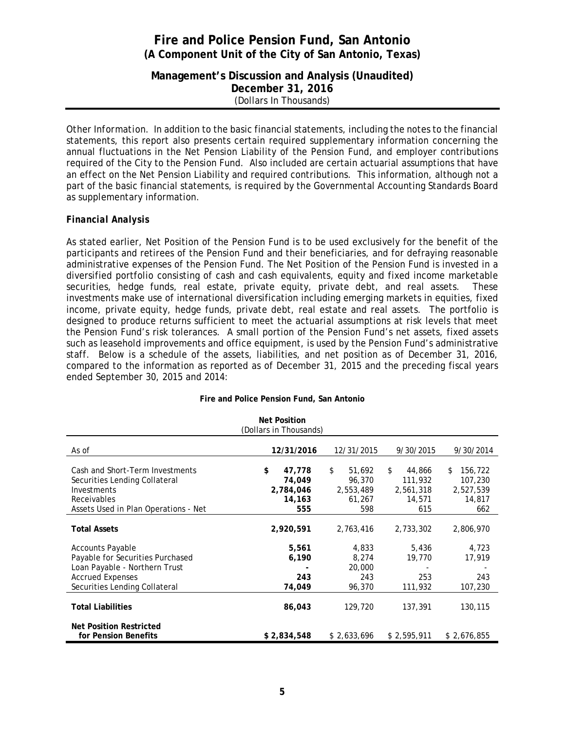**Management's Discussion and Analysis (Unaudited) December 31, 2016** (Dollars In Thousands)

*Other Information.* In addition to the basic financial statements, including the notes to the financial statements, this report also presents certain required supplementary information concerning the annual fluctuations in the Net Pension Liability of the Pension Fund, and employer contributions required of the City to the Pension Fund. Also included are certain actuarial assumptions that have an effect on the Net Pension Liability and required contributions. This information, although not a part of the basic financial statements, is required by the Governmental Accounting Standards Board as supplementary information.

#### *Financial Analysis*

As stated earlier, Net Position of the Pension Fund is to be used exclusively for the benefit of the participants and retirees of the Pension Fund and their beneficiaries, and for defraying reasonable administrative expenses of the Pension Fund. The Net Position of the Pension Fund is invested in a diversified portfolio consisting of cash and cash equivalents, equity and fixed income marketable securities, hedge funds, real estate, private equity, private debt, and real assets. These investments make use of international diversification including emerging markets in equities, fixed income, private equity, hedge funds, private debt, real estate and real assets. The portfolio is designed to produce returns sufficient to meet the actuarial assumptions at risk levels that meet the Pension Fund's risk tolerances. A small portion of the Pension Fund's net assets, fixed assets such as leasehold improvements and office equipment, is used by the Pension Fund's administrative staff. Below is a schedule of the assets, liabilities, and net position as of December 31, 2016, compared to the information as reported as of December 31, 2015 and the preceding fiscal years ended September 30, 2015 and 2014:

|                                                                  | <b>Net Position</b><br>(Dollars in Thousands) |                        |                         |                           |
|------------------------------------------------------------------|-----------------------------------------------|------------------------|-------------------------|---------------------------|
|                                                                  |                                               |                        |                         |                           |
| As of                                                            | 12/31/2016                                    | 12/31/2015             | 9/30/2015               | 9/30/2014                 |
| Cash and Short-Term Investments<br>Securities Lending Collateral | \$<br>47,778<br>74,049                        | \$<br>51,692<br>96,370 | 44,866<br>\$<br>111,932 | 156,722<br>\$.<br>107,230 |
| Investments                                                      | 2,784,046                                     | 2,553,489              | 2,561,318               | 2,527,539                 |
| Receivables                                                      | 14,163                                        | 61,267                 | 14,571                  | 14,817                    |
| Assets Used in Plan Operations - Net                             | 555                                           | 598                    | 615                     | 662                       |
| <b>Total Assets</b>                                              | 2,920,591                                     | 2,763,416              | 2,733,302               | 2,806,970                 |
| <b>Accounts Payable</b>                                          | 5,561                                         | 4,833                  | 5,436                   | 4,723                     |
| Payable for Securities Purchased                                 | 6,190                                         | 8,274                  | 19,770                  | 17,919                    |
| Loan Payable - Northern Trust                                    |                                               | 20,000                 |                         |                           |
| <b>Accrued Expenses</b>                                          | 243                                           | 243                    | 253                     | 243                       |
| Securities Lending Collateral                                    | 74,049                                        | 96,370                 | 111,932                 | 107,230                   |
| <b>Total Liabilities</b>                                         | 86,043                                        | 129,720                | 137,391                 | 130,115                   |
| <b>Net Position Restricted</b>                                   |                                               |                        |                         |                           |
| for Pension Benefits                                             | \$2,834,548                                   | \$2,633,696            | \$2,595,911             | \$2,676,855               |

#### **Fire and Police Pension Fund, San Antonio**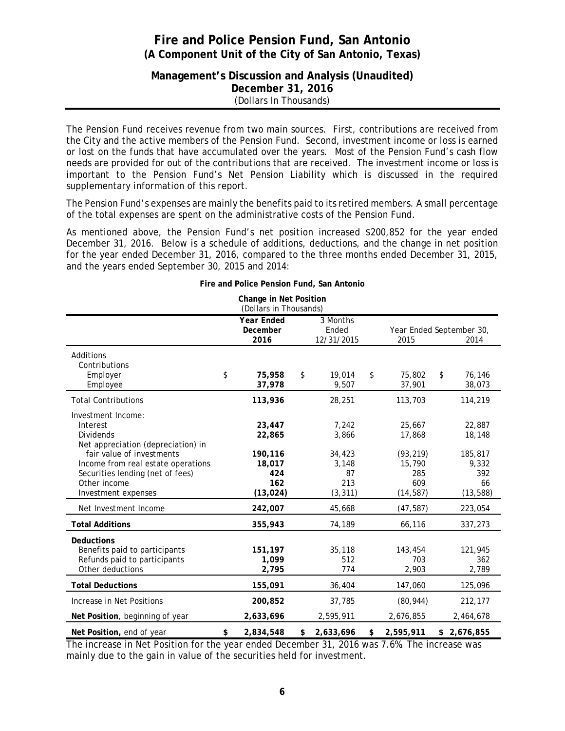### **Management's Discussion and Analysis (Unaudited) December 31, 2016** (Dollars In Thousands)

The Pension Fund receives revenue from two main sources. First, contributions are received from the City and the active members of the Pension Fund. Second, investment income or loss is earned or lost on the funds that have accumulated over the years. Most of the Pension Fund's cash flow needs are provided for out of the contributions that are received. The investment income or loss is important to the Pension Fund's Net Pension Liability which is discussed in the required supplementary information of this report.

The Pension Fund's expenses are mainly the benefits paid to its retired members. A small percentage of the total expenses are spent on the administrative costs of the Pension Fund.

As mentioned above, the Pension Fund's net position increased \$200,852 for the year ended December 31, 2016. Below is a schedule of additions, deductions, and the change in net position for the year ended December 31, 2016, compared to the three months ended December 31, 2015, and the years ended September 30, 2015 and 2014:

|                                                                                                                     | Change in Net Position<br>(Dollars in Thousands) |                                 |                                   |                               |
|---------------------------------------------------------------------------------------------------------------------|--------------------------------------------------|---------------------------------|-----------------------------------|-------------------------------|
|                                                                                                                     | Year Ended<br>December<br>2016                   | 3 Months<br>Ended<br>12/31/2015 | Year Ended September 30,<br>2015  | 2014                          |
| Additions<br>Contributions<br>Employer                                                                              | \$<br>75,958                                     | \$<br>19,014                    | \$<br>75,802                      | \$<br>76,146                  |
| Employee                                                                                                            | 37,978                                           | 9,507                           | 37,901                            | 38,073                        |
| <b>Total Contributions</b>                                                                                          | 113,936                                          | 28,251                          | 113,703                           | 114,219                       |
| Investment Income:<br>Interest<br><b>Dividends</b><br>Net appreciation (depreciation) in                            | 23,447<br>22,865                                 | 7,242<br>3,866                  | 25,667<br>17,868                  | 22,887<br>18,148              |
| fair value of investments<br>Income from real estate operations<br>Securities lending (net of fees)<br>Other income | 190,116<br>18,017<br>424<br>162                  | 34,423<br>3,148<br>87<br>213    | (93, 219)<br>15,790<br>285<br>609 | 185,817<br>9,332<br>392<br>66 |
| Investment expenses                                                                                                 | (13, 024)                                        | (3, 311)                        | (14, 587)                         | (13, 588)                     |
| Net Investment Income                                                                                               | 242,007                                          | 45,668                          | (47, 587)                         | 223,054                       |
| <b>Total Additions</b>                                                                                              | 355,943                                          | 74,189                          | 66,116                            | 337,273                       |
| <b>Deductions</b><br>Benefits paid to participants<br>Refunds paid to participants<br>Other deductions              | 151,197<br>1.099<br>2,795                        | 35,118<br>512<br>774            | 143,454<br>703<br>2,903           | 121,945<br>362<br>2,789       |
| <b>Total Deductions</b>                                                                                             | 155,091                                          | 36,404                          | 147,060                           | 125,096                       |
| Increase in Net Positions                                                                                           | 200,852                                          | 37,785                          | (80, 944)                         | 212,177                       |
| Net Position, beginning of year                                                                                     | 2,633,696                                        | 2,595,911                       | 2,676,855                         | 2,464,678                     |
| Net Position, end of year                                                                                           | \$<br>2,834,548                                  | \$<br>2,633,696                 | \$<br>2,595,911                   | \$<br>2,676,855               |

**Fire and Police Pension Fund, San Antonio**

The increase in Net Position for the year ended December 31, 2016 was 7.6%. The increase was mainly due to the gain in value of the securities held for investment.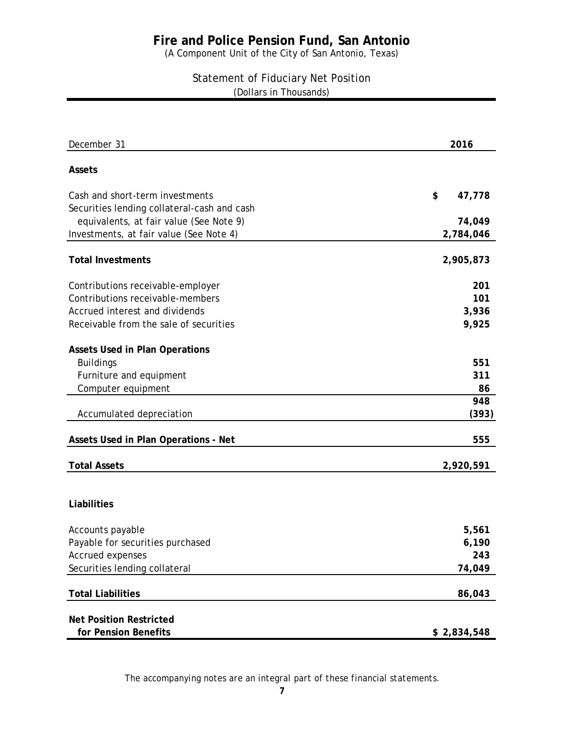# **Fire and Police Pension Fund, San Antonio**

(A Component Unit of the City of San Antonio, Texas)

(Dollars in Thousands) Statement of Fiduciary Net Position

| December 31                                                                    | 2016         |
|--------------------------------------------------------------------------------|--------------|
| Assets                                                                         |              |
| Cash and short-term investments<br>Securities lending collateral-cash and cash | \$<br>47,778 |
| equivalents, at fair value (See Note 9)                                        | 74,049       |
| Investments, at fair value (See Note 4)                                        | 2,784,046    |
| <b>Total Investments</b>                                                       | 2,905,873    |
| Contributions receivable-employer                                              | 201          |
| Contributions receivable-members                                               | 101          |
| Accrued interest and dividends                                                 | 3,936        |
| Receivable from the sale of securities                                         | 9,925        |
| <b>Assets Used in Plan Operations</b>                                          |              |
| <b>Buildings</b>                                                               | 551          |
| Furniture and equipment                                                        | 311          |
| Computer equipment                                                             | 86           |
|                                                                                | 948          |
| Accumulated depreciation                                                       | (393)        |
| Assets Used in Plan Operations - Net                                           | 555          |
| <b>Total Assets</b>                                                            | 2,920,591    |
|                                                                                |              |
| Liabilities                                                                    |              |
| Accounts payable                                                               | 5,561        |
| Payable for securities purchased                                               | 6,190        |
| Accrued expenses                                                               | 243          |
| Securities lending collateral                                                  | 74,049       |
| <b>Total Liabilities</b>                                                       | 86,043       |
|                                                                                |              |
| <b>Net Position Restricted</b>                                                 |              |
| for Pension Benefits                                                           | \$2,834,548  |

*The accompanying notes are an integral part of these financial statements.*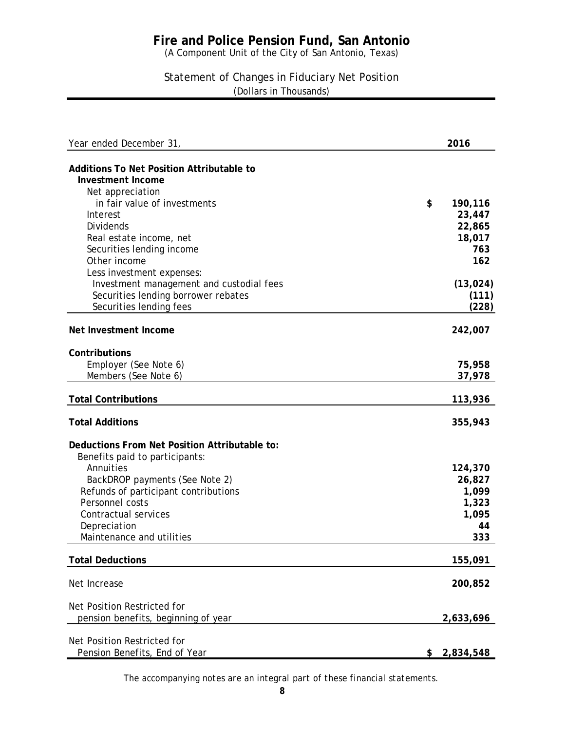# **Fire and Police Pension Fund, San Antonio**

(A Component Unit of the City of San Antonio, Texas)

### Statement of Changes in Fiduciary Net Position (Dollars in Thousands)

| Year ended December 31,                                                                                                                 | 2016                        |
|-----------------------------------------------------------------------------------------------------------------------------------------|-----------------------------|
| <b>Additions To Net Position Attributable to</b><br><b>Investment Income</b>                                                            |                             |
| Net appreciation<br>in fair value of investments<br>Interest                                                                            | \$<br>190,116<br>23,447     |
| <b>Dividends</b><br>Real estate income, net                                                                                             | 22,865<br>18,017            |
| Securities lending income<br>Other income                                                                                               | 763<br>162                  |
| Less investment expenses:<br>Investment management and custodial fees<br>Securities lending borrower rebates<br>Securities lending fees | (13, 024)<br>(111)<br>(228) |
| Net Investment Income                                                                                                                   | 242,007                     |
| Contributions<br>Employer (See Note 6)                                                                                                  | 75,958                      |
| Members (See Note 6)                                                                                                                    | 37,978                      |
| <b>Total Contributions</b>                                                                                                              | 113,936                     |
| <b>Total Additions</b>                                                                                                                  | 355,943                     |
| Deductions From Net Position Attributable to:<br>Benefits paid to participants:                                                         |                             |
| Annuities<br>BackDROP payments (See Note 2)                                                                                             | 124,370<br>26,827           |
| Refunds of participant contributions<br>Personnel costs                                                                                 | 1,099<br>1,323              |
| Contractual services<br>Depreciation                                                                                                    | 1,095<br>44                 |
| Maintenance and utilities                                                                                                               | 333                         |
| <b>Total Deductions</b>                                                                                                                 | 155,091                     |
| Net Increase                                                                                                                            | 200,852                     |
| Net Position Restricted for<br>pension benefits, beginning of year                                                                      | 2,633,696                   |
| Net Position Restricted for<br>Pension Benefits, End of Year                                                                            | \$<br>2,834,548             |

*The accompanying notes are an integral part of these financial statements.*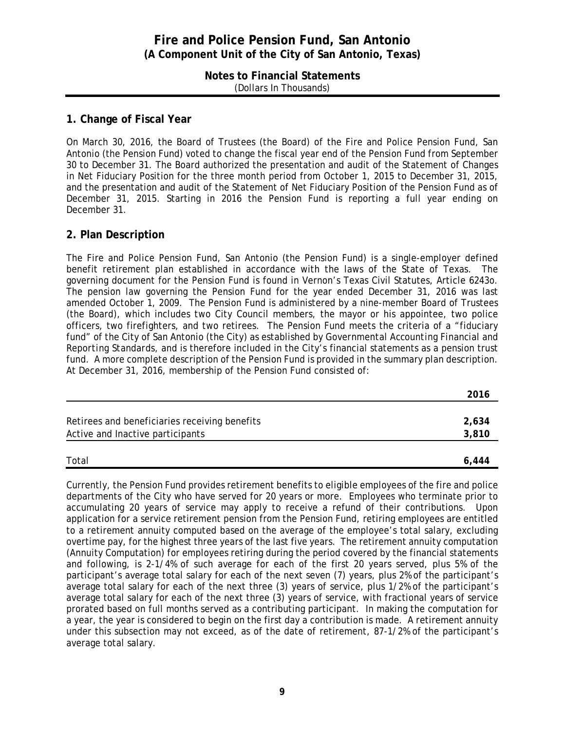#### **Notes to Financial Statements** (Dollars In Thousands)

#### **1. Change of Fiscal Year**

On March 30, 2016, the Board of Trustees (the Board) of the Fire and Police Pension Fund, San Antonio (the Pension Fund) voted to change the fiscal year end of the Pension Fund from September 30 to December 31. The Board authorized the presentation and audit of the Statement of Changes in Net Fiduciary Position for the three month period from October 1, 2015 to December 31, 2015, and the presentation and audit of the Statement of Net Fiduciary Position of the Pension Fund as of December 31, 2015. Starting in 2016 the Pension Fund is reporting a full year ending on December 31.

### **2. Plan Description**

The Fire and Police Pension Fund, San Antonio (the Pension Fund) is a single-employer defined benefit retirement plan established in accordance with the laws of the State of Texas. The governing document for the Pension Fund is found in Vernon's Texas Civil Statutes, Article 6243o. The pension law governing the Pension Fund for the year ended December 31, 2016 was last amended October 1, 2009. The Pension Fund is administered by a nine-member Board of Trustees (the Board), which includes two City Council members, the mayor or his appointee, two police officers, two firefighters, and two retirees. The Pension Fund meets the criteria of a "fiduciary fund" of the City of San Antonio (the City) as established by *Governmental Accounting Financial and Reporting Standards*, and is therefore included in the City's financial statements as a pension trust fund. A more complete description of the Pension Fund is provided in the summary plan description. At December 31, 2016, membership of the Pension Fund consisted of:

|                                               | 2016  |
|-----------------------------------------------|-------|
|                                               |       |
| Retirees and beneficiaries receiving benefits | 2,634 |
| Active and Inactive participants              | 3,810 |
|                                               |       |
| Total                                         | 6.444 |

Currently, the Pension Fund provides retirement benefits to eligible employees of the fire and police departments of the City who have served for 20 years or more. Employees who terminate prior to accumulating 20 years of service may apply to receive a refund of their contributions. Upon application for a service retirement pension from the Pension Fund, retiring employees are entitled to a retirement annuity computed based on the average of the employee's total salary, excluding overtime pay, for the highest three years of the last five years. The retirement annuity computation (Annuity Computation) for employees retiring during the period covered by the financial statements and following, is 2-1/4% of such average for each of the first 20 years served, plus 5% of the participant's average total salary for each of the next seven (7) years, plus 2% of the participant's average total salary for each of the next three (3) years of service, plus 1/2% of the participant's average total salary for each of the next three (3) years of service, with fractional years of service prorated based on full months served as a contributing participant. In making the computation for a year, the year is considered to begin on the first day a contribution is made. A retirement annuity under this subsection may not exceed, as of the date of retirement, 87-1/2% of the participant's average total salary.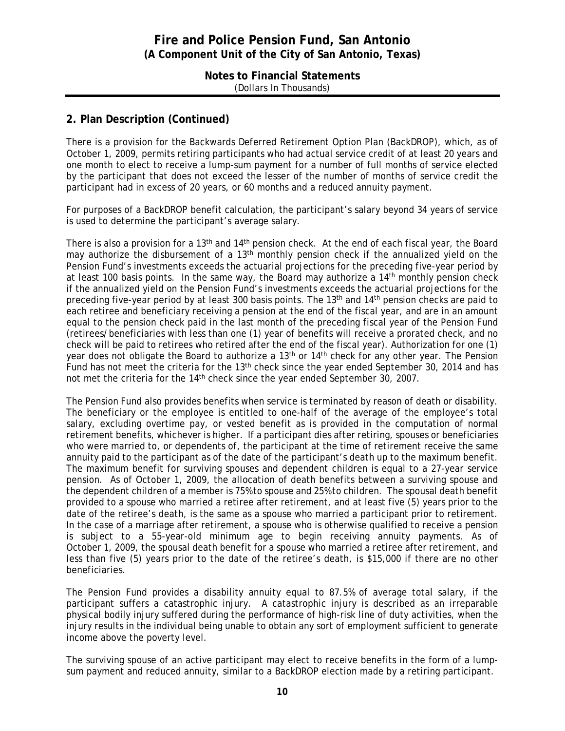**Notes to Financial Statements** (Dollars In Thousands)

### **2. Plan Description (Continued)**

There is a provision for the Backwards Deferred Retirement Option Plan (BackDROP), which, as of October 1, 2009, permits retiring participants who had actual service credit of at least 20 years and one month to elect to receive a lump-sum payment for a number of full months of service elected by the participant that does not exceed the lesser of the number of months of service credit the participant had in excess of 20 years, or 60 months and a reduced annuity payment.

For purposes of a BackDROP benefit calculation, the participant's salary beyond 34 years of service is used to determine the participant's average salary.

There is also a provision for a 13<sup>th</sup> and 14<sup>th</sup> pension check. At the end of each fiscal year, the Board may authorize the disbursement of a 13<sup>th</sup> monthly pension check if the annualized yield on the Pension Fund's investments exceeds the actuarial projections for the preceding five-year period by at least 100 basis points. In the same way, the Board may authorize a 14<sup>th</sup> monthly pension check if the annualized yield on the Pension Fund's investments exceeds the actuarial projections for the preceding five-year period by at least 300 basis points. The 13th and 14th pension checks are paid to each retiree and beneficiary receiving a pension at the end of the fiscal year, and are in an amount equal to the pension check paid in the last month of the preceding fiscal year of the Pension Fund (retirees/beneficiaries with less than one (1) year of benefits will receive a prorated check, and no check will be paid to retirees who retired after the end of the fiscal year). Authorization for one (1) year does not obligate the Board to authorize a 13<sup>th</sup> or 14<sup>th</sup> check for any other year. The Pension Fund has not meet the criteria for the  $13<sup>th</sup>$  check since the year ended September 30, 2014 and has not met the criteria for the 14<sup>th</sup> check since the year ended September 30, 2007.

The Pension Fund also provides benefits when service is terminated by reason of death or disability. The beneficiary or the employee is entitled to one-half of the average of the employee's total salary, excluding overtime pay, or vested benefit as is provided in the computation of normal retirement benefits, whichever is higher. If a participant dies after retiring, spouses or beneficiaries who were married to, or dependents of, the participant at the time of retirement receive the same annuity paid to the participant as of the date of the participant's death up to the maximum benefit. The maximum benefit for surviving spouses and dependent children is equal to a 27-year service pension. As of October 1, 2009, the allocation of death benefits between a surviving spouse and the dependent children of a member is 75% to spouse and 25% to children. The spousal death benefit provided to a spouse who married a retiree after retirement, and at least five (5) years prior to the date of the retiree's death, is the same as a spouse who married a participant prior to retirement. In the case of a marriage after retirement, a spouse who is otherwise qualified to receive a pension is subject to a 55-year-old minimum age to begin receiving annuity payments. As of October 1, 2009, the spousal death benefit for a spouse who married a retiree after retirement, and less than five (5) years prior to the date of the retiree's death, is \$15,000 if there are no other beneficiaries.

The Pension Fund provides a disability annuity equal to 87.5% of average total salary, if the participant suffers a catastrophic injury. A catastrophic injury is described as an irreparable physical bodily injury suffered during the performance of high-risk line of duty activities, when the injury results in the individual being unable to obtain any sort of employment sufficient to generate income above the poverty level.

The surviving spouse of an active participant may elect to receive benefits in the form of a lumpsum payment and reduced annuity, similar to a BackDROP election made by a retiring participant.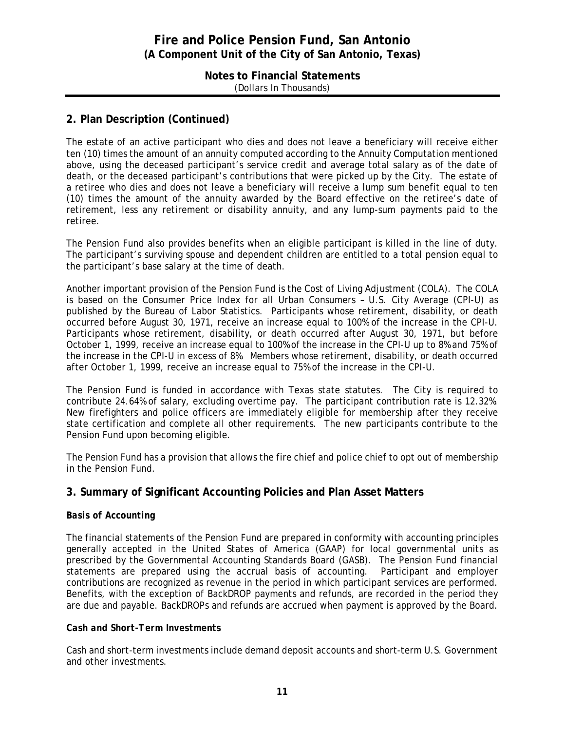#### **Notes to Financial Statements** (Dollars In Thousands)

### **2. Plan Description (Continued)**

The estate of an active participant who dies and does not leave a beneficiary will receive either ten (10) times the amount of an annuity computed according to the Annuity Computation mentioned above, using the deceased participant's service credit and average total salary as of the date of death, or the deceased participant's contributions that were picked up by the City. The estate of a retiree who dies and does not leave a beneficiary will receive a lump sum benefit equal to ten (10) times the amount of the annuity awarded by the Board effective on the retiree's date of retirement, less any retirement or disability annuity, and any lump-sum payments paid to the retiree.

The Pension Fund also provides benefits when an eligible participant is killed in the line of duty. The participant's surviving spouse and dependent children are entitled to a total pension equal to the participant's base salary at the time of death.

Another important provision of the Pension Fund is the Cost of Living Adjustment (COLA). The COLA is based on the Consumer Price Index for all Urban Consumers – U.S. City Average (CPI-U) as published by the Bureau of Labor Statistics. Participants whose retirement, disability, or death occurred before August 30, 1971, receive an increase equal to 100% of the increase in the CPI-U. Participants whose retirement, disability, or death occurred after August 30, 1971, but before October 1, 1999, receive an increase equal to 100% of the increase in the CPI-U up to 8% and 75% of the increase in the CPI-U in excess of 8%. Members whose retirement, disability, or death occurred after October 1, 1999, receive an increase equal to 75% of the increase in the CPI-U.

The Pension Fund is funded in accordance with Texas state statutes. The City is required to contribute 24.64% of salary, excluding overtime pay. The participant contribution rate is 12.32%. New firefighters and police officers are immediately eligible for membership after they receive state certification and complete all other requirements. The new participants contribute to the Pension Fund upon becoming eligible.

The Pension Fund has a provision that allows the fire chief and police chief to opt out of membership in the Pension Fund.

### **3. Summary of Significant Accounting Policies and Plan Asset Matters**

### *Basis of Accounting*

The financial statements of the Pension Fund are prepared in conformity with accounting principles generally accepted in the United States of America (GAAP) for local governmental units as prescribed by the Governmental Accounting Standards Board (GASB). The Pension Fund financial statements are prepared using the accrual basis of accounting. Participant and employer contributions are recognized as revenue in the period in which participant services are performed. Benefits, with the exception of BackDROP payments and refunds, are recorded in the period they are due and payable. BackDROPs and refunds are accrued when payment is approved by the Board.

#### *Cash and Short-Term Investments*

Cash and short-term investments include demand deposit accounts and short-term U.S. Government and other investments.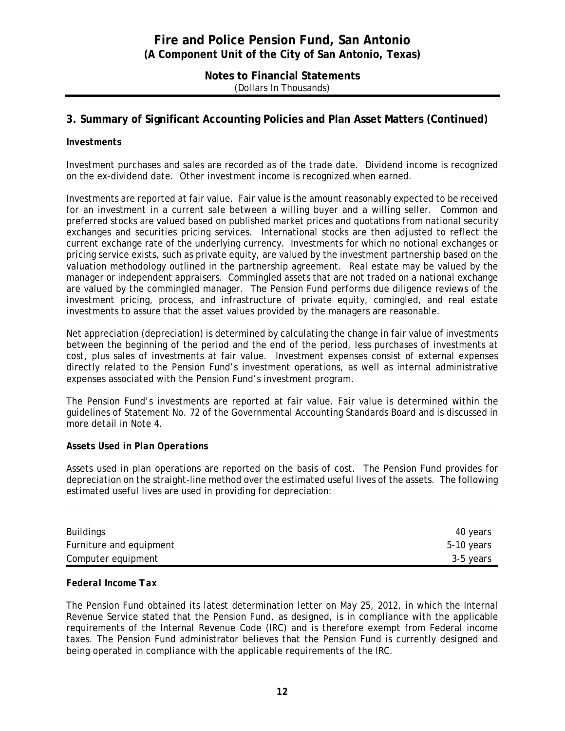#### **Notes to Financial Statements** (Dollars In Thousands)

### **3. Summary of Significant Accounting Policies and Plan Asset Matters (Continued)**

#### *Investments*

Investment purchases and sales are recorded as of the trade date. Dividend income is recognized on the ex-dividend date. Other investment income is recognized when earned.

Investments are reported at fair value. Fair value is the amount reasonably expected to be received for an investment in a current sale between a willing buyer and a willing seller. Common and preferred stocks are valued based on published market prices and quotations from national security exchanges and securities pricing services. International stocks are then adjusted to reflect the current exchange rate of the underlying currency. Investments for which no notional exchanges or pricing service exists, such as private equity, are valued by the investment partnership based on the valuation methodology outlined in the partnership agreement. Real estate may be valued by the manager or independent appraisers. Commingled assets that are not traded on a national exchange are valued by the commingled manager. The Pension Fund performs due diligence reviews of the investment pricing, process, and infrastructure of private equity, comingled, and real estate investments to assure that the asset values provided by the managers are reasonable.

Net appreciation (depreciation) is determined by calculating the change in fair value of investments between the beginning of the period and the end of the period, less purchases of investments at cost, plus sales of investments at fair value. Investment expenses consist of external expenses directly related to the Pension Fund's investment operations, as well as internal administrative expenses associated with the Pension Fund's investment program.

The Pension Fund's investments are reported at fair value. Fair value is determined within the guidelines of Statement No. 72 of the Governmental Accounting Standards Board and is discussed in more detail in Note 4.

#### *Assets Used in Plan Operations*

Assets used in plan operations are reported on the basis of cost. The Pension Fund provides for depreciation on the straight-line method over the estimated useful lives of the assets. The following estimated useful lives are used in providing for depreciation:

| Buildings               | 40 years   |
|-------------------------|------------|
| Furniture and equipment | 5-10 years |
| Computer equipment      | 3-5 years  |

#### *Federal Income Tax*

The Pension Fund obtained its latest determination letter on May 25, 2012, in which the Internal Revenue Service stated that the Pension Fund, as designed, is in compliance with the applicable requirements of the Internal Revenue Code (IRC) and is therefore exempt from Federal income taxes. The Pension Fund administrator believes that the Pension Fund is currently designed and being operated in compliance with the applicable requirements of the IRC.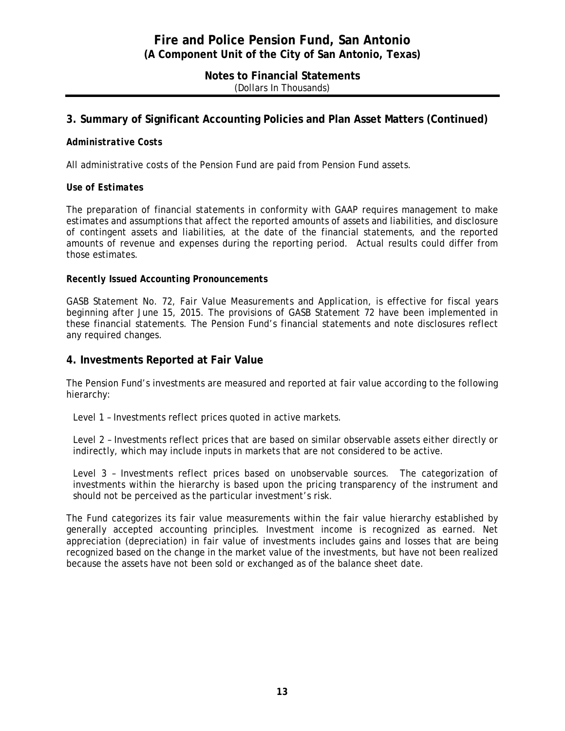**Notes to Financial Statements** (Dollars In Thousands)

### **3. Summary of Significant Accounting Policies and Plan Asset Matters (Continued)**

#### *Administrative Costs*

All administrative costs of the Pension Fund are paid from Pension Fund assets.

#### *Use of Estimates*

The preparation of financial statements in conformity with GAAP requires management to make estimates and assumptions that affect the reported amounts of assets and liabilities, and disclosure of contingent assets and liabilities, at the date of the financial statements, and the reported amounts of revenue and expenses during the reporting period. Actual results could differ from those estimates.

#### *Recently Issued Accounting Pronouncements*

GASB Statement No. 72, *Fair Value Measurements and Application*, is effective for fiscal years beginning after June 15, 2015. The provisions of GASB Statement 72 have been implemented in these financial statements. The Pension Fund's financial statements and note disclosures reflect any required changes.

#### **4. Investments Reported at Fair Value**

The Pension Fund's investments are measured and reported at fair value according to the following hierarchy:

Level 1 – Investments reflect prices quoted in active markets.

Level 2 – Investments reflect prices that are based on similar observable assets either directly or indirectly, which may include inputs in markets that are not considered to be active.

Level 3 – Investments reflect prices based on unobservable sources. The categorization of investments within the hierarchy is based upon the pricing transparency of the instrument and should not be perceived as the particular investment's risk.

The Fund categorizes its fair value measurements within the fair value hierarchy established by generally accepted accounting principles. Investment income is recognized as earned. Net appreciation (depreciation) in fair value of investments includes gains and losses that are being recognized based on the change in the market value of the investments, but have not been realized because the assets have not been sold or exchanged as of the balance sheet date.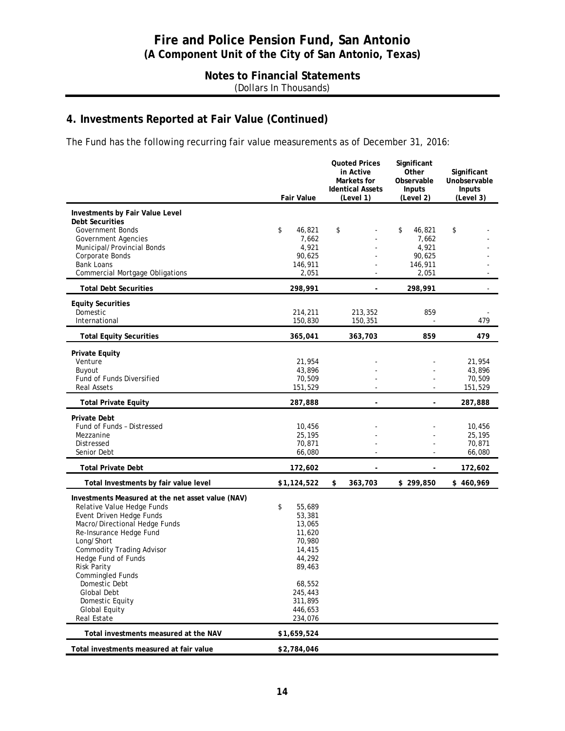### **Notes to Financial Statements** (Dollars In Thousands)

# **4. Investments Reported at Fair Value (Continued)**

The Fund has the following recurring fair value measurements as of December 31, 2016:

|                                                                                                                                                                                                                                                                                                                                                                                                    | <b>Fair Value</b>                                                                                                                        | <b>Quoted Prices</b><br>in Active<br>Markets for<br><b>Identical Assets</b><br>(Level 1) | Significant<br>Other<br>Observable<br>Inputs<br>(Level 2) | Significant<br>Unobservable<br><b>Inputs</b><br>(Level 3) |
|----------------------------------------------------------------------------------------------------------------------------------------------------------------------------------------------------------------------------------------------------------------------------------------------------------------------------------------------------------------------------------------------------|------------------------------------------------------------------------------------------------------------------------------------------|------------------------------------------------------------------------------------------|-----------------------------------------------------------|-----------------------------------------------------------|
| Investments by Fair Value Level<br><b>Debt Securities</b><br><b>Government Bonds</b><br><b>Government Agencies</b><br>Municipal/Provincial Bonds<br>Corporate Bonds                                                                                                                                                                                                                                | \$<br>46,821<br>7,662<br>4,921<br>90,625                                                                                                 | \$                                                                                       | \$<br>46,821<br>7,662<br>4,921<br>90,625                  | \$                                                        |
| <b>Bank Loans</b><br>Commercial Mortgage Obligations                                                                                                                                                                                                                                                                                                                                               | 146,911<br>2,051                                                                                                                         |                                                                                          | 146,911<br>2,051                                          |                                                           |
| <b>Total Debt Securities</b>                                                                                                                                                                                                                                                                                                                                                                       | 298,991                                                                                                                                  | $\blacksquare$                                                                           | 298,991                                                   |                                                           |
| <b>Equity Securities</b><br>Domestic<br>International                                                                                                                                                                                                                                                                                                                                              | 214,211<br>150,830                                                                                                                       | 213,352<br>150,351                                                                       | 859                                                       | 479                                                       |
| <b>Total Equity Securities</b>                                                                                                                                                                                                                                                                                                                                                                     | 365,041                                                                                                                                  | 363,703                                                                                  | 859                                                       | 479                                                       |
| <b>Private Equity</b><br>Venture<br>Buyout<br><b>Fund of Funds Diversified</b><br><b>Real Assets</b>                                                                                                                                                                                                                                                                                               | 21,954<br>43,896<br>70,509<br>151,529                                                                                                    |                                                                                          |                                                           | 21,954<br>43,896<br>70,509<br>151,529                     |
| <b>Total Private Equity</b>                                                                                                                                                                                                                                                                                                                                                                        | 287,888                                                                                                                                  |                                                                                          |                                                           | 287,888                                                   |
| <b>Private Debt</b><br>Fund of Funds - Distressed<br>Mezzanine<br>Distressed<br>Senior Debt                                                                                                                                                                                                                                                                                                        | 10,456<br>25,195<br>70,871<br>66,080                                                                                                     |                                                                                          |                                                           | 10,456<br>25,195<br>70,871<br>66,080                      |
| <b>Total Private Debt</b>                                                                                                                                                                                                                                                                                                                                                                          | 172,602                                                                                                                                  |                                                                                          |                                                           | 172,602                                                   |
| Total Investments by fair value level                                                                                                                                                                                                                                                                                                                                                              | \$1,124,522                                                                                                                              | \$<br>363,703                                                                            | \$299,850                                                 | \$460,969                                                 |
| Investments Measured at the net asset value (NAV)<br>Relative Value Hedge Funds<br>Event Driven Hedge Funds<br>Macro/Directional Hedge Funds<br>Re-Insurance Hedge Fund<br>Long/Short<br><b>Commodity Trading Advisor</b><br>Hedge Fund of Funds<br><b>Risk Parity</b><br>Commingled Funds<br>Domestic Debt<br><b>Global Debt</b><br>Domestic Equity<br><b>Global Equity</b><br><b>Real Estate</b> | \$<br>55,689<br>53,381<br>13,065<br>11,620<br>70,980<br>14,415<br>44,292<br>89,463<br>68,552<br>245,443<br>311,895<br>446,653<br>234,076 |                                                                                          |                                                           |                                                           |
| Total investments measured at the NAV                                                                                                                                                                                                                                                                                                                                                              | \$1,659,524                                                                                                                              |                                                                                          |                                                           |                                                           |
| Total investments measured at fair value                                                                                                                                                                                                                                                                                                                                                           | \$2,784,046                                                                                                                              |                                                                                          |                                                           |                                                           |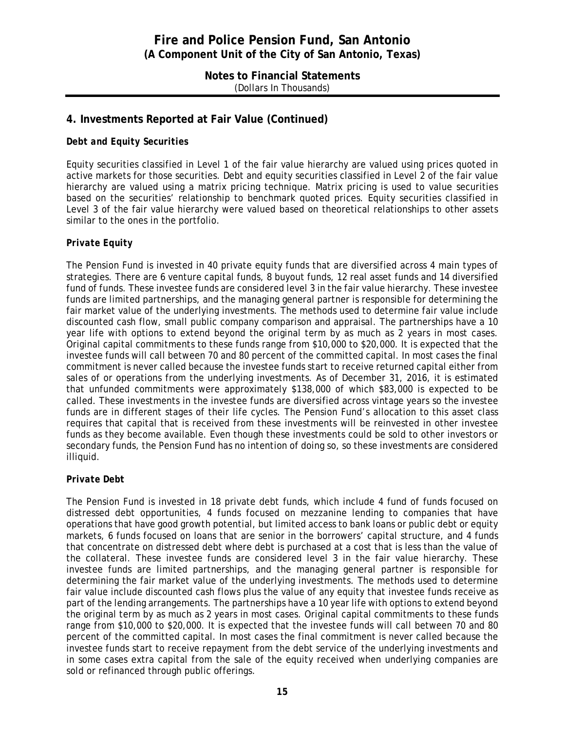**Notes to Financial Statements** (Dollars In Thousands)

### **4. Investments Reported at Fair Value (Continued)**

#### *Debt and Equity Securities*

Equity securities classified in Level 1 of the fair value hierarchy are valued using prices quoted in active markets for those securities. Debt and equity securities classified in Level 2 of the fair value hierarchy are valued using a matrix pricing technique. Matrix pricing is used to value securities based on the securities' relationship to benchmark quoted prices. Equity securities classified in Level 3 of the fair value hierarchy were valued based on theoretical relationships to other assets similar to the ones in the portfolio.

#### *Private Equity*

The Pension Fund is invested in 40 private equity funds that are diversified across 4 main types of strategies. There are 6 venture capital funds, 8 buyout funds, 12 real asset funds and 14 diversified fund of funds. These investee funds are considered level 3 in the fair value hierarchy. These investee funds are limited partnerships, and the managing general partner is responsible for determining the fair market value of the underlying investments. The methods used to determine fair value include discounted cash flow, small public company comparison and appraisal. The partnerships have a 10 year life with options to extend beyond the original term by as much as 2 years in most cases. Original capital commitments to these funds range from \$10,000 to \$20,000. It is expected that the investee funds will call between 70 and 80 percent of the committed capital. In most cases the final commitment is never called because the investee funds start to receive returned capital either from sales of or operations from the underlying investments. As of December 31, 2016, it is estimated that unfunded commitments were approximately \$138,000 of which \$83,000 is expected to be called. These investments in the investee funds are diversified across vintage years so the investee funds are in different stages of their life cycles. The Pension Fund's allocation to this asset class requires that capital that is received from these investments will be reinvested in other investee funds as they become available. Even though these investments could be sold to other investors or secondary funds, the Pension Fund has no intention of doing so, so these investments are considered illiquid.

#### *Private Debt*

The Pension Fund is invested in 18 private debt funds, which include 4 fund of funds focused on distressed debt opportunities, 4 funds focused on mezzanine lending to companies that have operations that have good growth potential, but limited access to bank loans or public debt or equity markets, 6 funds focused on loans that are senior in the borrowers' capital structure, and 4 funds that concentrate on distressed debt where debt is purchased at a cost that is less than the value of the collateral. These investee funds are considered level 3 in the fair value hierarchy. These investee funds are limited partnerships, and the managing general partner is responsible for determining the fair market value of the underlying investments. The methods used to determine fair value include discounted cash flows plus the value of any equity that investee funds receive as part of the lending arrangements. The partnerships have a 10 year life with options to extend beyond the original term by as much as 2 years in most cases. Original capital commitments to these funds range from \$10,000 to \$20,000. It is expected that the investee funds will call between 70 and 80 percent of the committed capital. In most cases the final commitment is never called because the investee funds start to receive repayment from the debt service of the underlying investments and in some cases extra capital from the sale of the equity received when underlying companies are sold or refinanced through public offerings.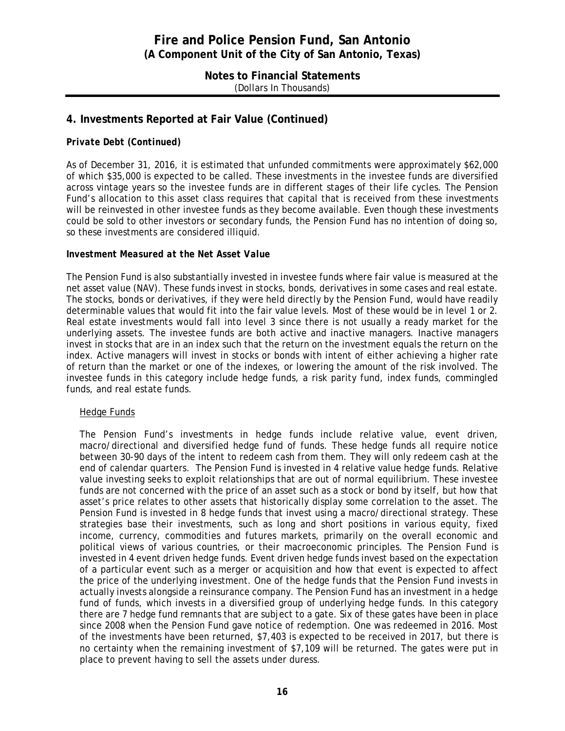#### **Notes to Financial Statements** (Dollars In Thousands)

### **4. Investments Reported at Fair Value (Continued)**

#### *Private Debt (Continued)*

As of December 31, 2016, it is estimated that unfunded commitments were approximately \$62,000 of which \$35,000 is expected to be called. These investments in the investee funds are diversified across vintage years so the investee funds are in different stages of their life cycles. The Pension Fund's allocation to this asset class requires that capital that is received from these investments will be reinvested in other investee funds as they become available. Even though these investments could be sold to other investors or secondary funds, the Pension Fund has no intention of doing so, so these investments are considered illiquid.

#### *Investment Measured at the Net Asset Value*

The Pension Fund is also substantially invested in investee funds where fair value is measured at the net asset value (NAV). These funds invest in stocks, bonds, derivatives in some cases and real estate. The stocks, bonds or derivatives, if they were held directly by the Pension Fund, would have readily determinable values that would fit into the fair value levels. Most of these would be in level 1 or 2. Real estate investments would fall into level 3 since there is not usually a ready market for the underlying assets. The investee funds are both active and inactive managers. Inactive managers invest in stocks that are in an index such that the return on the investment equals the return on the index. Active managers will invest in stocks or bonds with intent of either achieving a higher rate of return than the market or one of the indexes, or lowering the amount of the risk involved. The investee funds in this category include hedge funds, a risk parity fund, index funds, commingled funds, and real estate funds.

#### Hedge Funds

The Pension Fund's investments in hedge funds include relative value, event driven, macro/directional and diversified hedge fund of funds. These hedge funds all require notice between 30-90 days of the intent to redeem cash from them. They will only redeem cash at the end of calendar quarters. The Pension Fund is invested in 4 relative value hedge funds. Relative value investing seeks to exploit relationships that are out of normal equilibrium. These investee funds are not concerned with the price of an asset such as a stock or bond by itself, but how that asset's price relates to other assets that historically display some correlation to the asset. The Pension Fund is invested in 8 hedge funds that invest using a macro/directional strategy. These strategies base their investments, such as long and short positions in various equity, fixed income, currency, commodities and futures markets, primarily on the overall economic and political views of various countries, or their macroeconomic principles. The Pension Fund is invested in 4 event driven hedge funds. Event driven hedge funds invest based on the expectation of a particular event such as a merger or acquisition and how that event is expected to affect the price of the underlying investment. One of the hedge funds that the Pension Fund invests in actually invests alongside a reinsurance company. The Pension Fund has an investment in a hedge fund of funds, which invests in a diversified group of underlying hedge funds. In this category there are 7 hedge fund remnants that are subject to a gate. Six of these gates have been in place since 2008 when the Pension Fund gave notice of redemption. One was redeemed in 2016. Most of the investments have been returned, \$7,403 is expected to be received in 2017, but there is no certainty when the remaining investment of \$7,109 will be returned. The gates were put in place to prevent having to sell the assets under duress.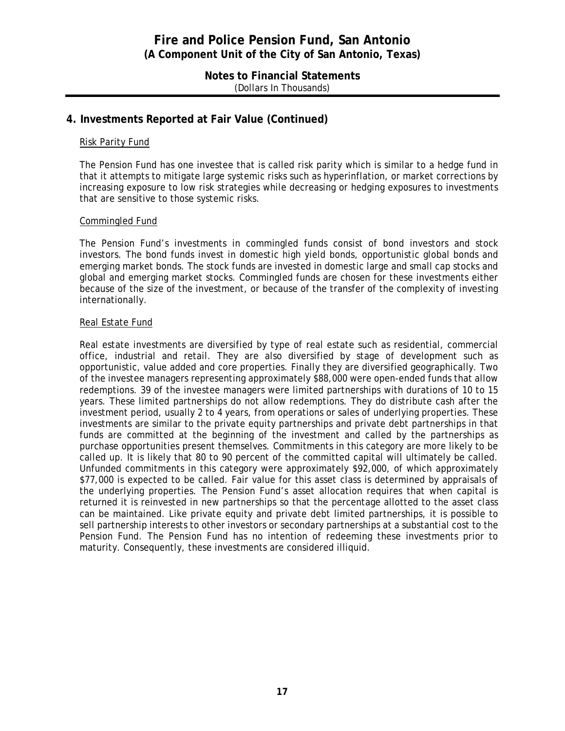#### **Notes to Financial Statements** (Dollars In Thousands)

### **4. Investments Reported at Fair Value (Continued)**

#### Risk Parity Fund

The Pension Fund has one investee that is called risk parity which is similar to a hedge fund in that it attempts to mitigate large systemic risks such as hyperinflation, or market corrections by increasing exposure to low risk strategies while decreasing or hedging exposures to investments that are sensitive to those systemic risks.

#### Commingled Fund

The Pension Fund's investments in commingled funds consist of bond investors and stock investors. The bond funds invest in domestic high yield bonds, opportunistic global bonds and emerging market bonds. The stock funds are invested in domestic large and small cap stocks and global and emerging market stocks. Commingled funds are chosen for these investments either because of the size of the investment, or because of the transfer of the complexity of investing internationally.

#### Real Estate Fund

Real estate investments are diversified by type of real estate such as residential, commercial office, industrial and retail. They are also diversified by stage of development such as opportunistic, value added and core properties. Finally they are diversified geographically. Two of the investee managers representing approximately \$88,000 were open-ended funds that allow redemptions. 39 of the investee managers were limited partnerships with durations of 10 to 15 years. These limited partnerships do not allow redemptions. They do distribute cash after the investment period, usually 2 to 4 years, from operations or sales of underlying properties. These investments are similar to the private equity partnerships and private debt partnerships in that funds are committed at the beginning of the investment and called by the partnerships as purchase opportunities present themselves. Commitments in this category are more likely to be called up. It is likely that 80 to 90 percent of the committed capital will ultimately be called. Unfunded commitments in this category were approximately \$92,000, of which approximately \$77,000 is expected to be called. Fair value for this asset class is determined by appraisals of the underlying properties. The Pension Fund's asset allocation requires that when capital is returned it is reinvested in new partnerships so that the percentage allotted to the asset class can be maintained. Like private equity and private debt limited partnerships, it is possible to sell partnership interests to other investors or secondary partnerships at a substantial cost to the Pension Fund. The Pension Fund has no intention of redeeming these investments prior to maturity. Consequently, these investments are considered illiquid.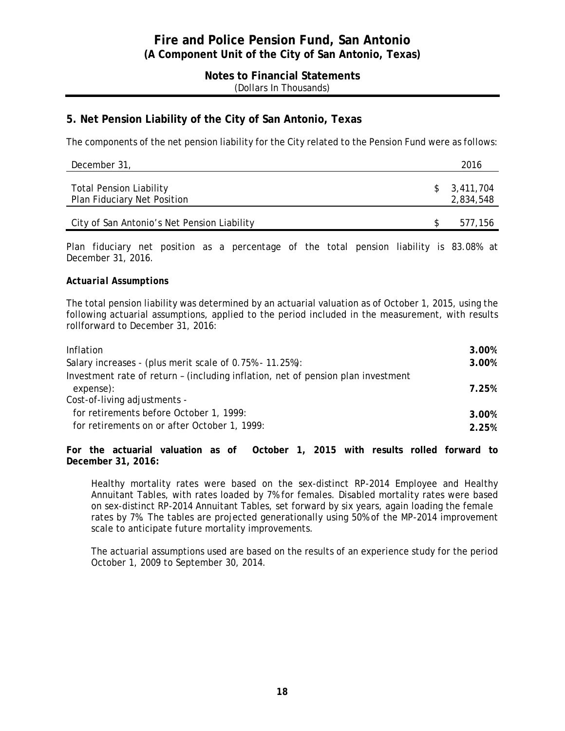#### **Notes to Financial Statements** (Dollars In Thousands)

### **5. Net Pension Liability of the City of San Antonio, Texas**

The components of the net pension liability for the City related to the Pension Fund were as follows:

| December 31,                                                         | 2016                     |
|----------------------------------------------------------------------|--------------------------|
| <b>Total Pension Liability</b><br><b>Plan Fiduciary Net Position</b> | \$3,411,704<br>2,834,548 |
| City of San Antonio's Net Pension Liability                          | 577.156                  |

Plan fiduciary net position as a percentage of the total pension liability is 83.08% at December 31, 2016.

#### *Actuarial Assumptions*

The total pension liability was determined by an actuarial valuation as of October 1, 2015, using the following actuarial assumptions, applied to the period included in the measurement, with results rollforward to December 31, 2016:

| Inflation                                                                        | 3.00% |
|----------------------------------------------------------------------------------|-------|
| Salary increases - (plus merit scale of 0.75% - 11.25%):                         | 3.00% |
| Investment rate of return - (including inflation, net of pension plan investment |       |
| expense):                                                                        | 7.25% |
| Cost-of-living adjustments -                                                     |       |
| for retirements before October 1, 1999:                                          | 3.00% |
| for retirements on or after October 1, 1999:                                     | 2.25% |
|                                                                                  |       |

**For the actuarial valuation as of October 1, 2015 with results rolled forward to December 31, 2016:**

Healthy mortality rates were based on the sex-distinct RP-2014 Employee and Healthy Annuitant Tables, with rates loaded by 7% for females. Disabled mortality rates were based on sex-distinct RP-2014 Annuitant Tables, set forward by six years, again loading the female rates by 7%. The tables are projected generationally using 50% of the MP-2014 improvement scale to anticipate future mortality improvements.

The actuarial assumptions used are based on the results of an experience study for the period October 1, 2009 to September 30, 2014.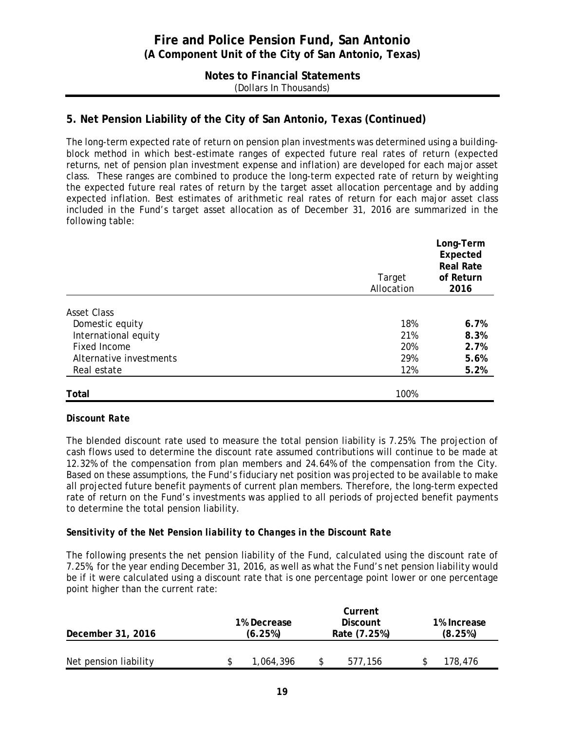### **Notes to Financial Statements** (Dollars In Thousands)

### **5. Net Pension Liability of the City of San Antonio, Texas (Continued)**

The long-term expected rate of return on pension plan investments was determined using a buildingblock method in which best-estimate ranges of expected future real rates of return (expected returns, net of pension plan investment expense and inflation) are developed for each major asset class. These ranges are combined to produce the long-term expected rate of return by weighting the expected future real rates of return by the target asset allocation percentage and by adding expected inflation. Best estimates of arithmetic real rates of return for each major asset class included in the Fund's target asset allocation as of December 31, 2016 are summarized in the following table:

|                         | Target<br>Allocation | Long-Term<br>Expected<br><b>Real Rate</b><br>of Return<br>2016 |  |  |
|-------------------------|----------------------|----------------------------------------------------------------|--|--|
|                         |                      |                                                                |  |  |
| <b>Asset Class</b>      |                      |                                                                |  |  |
| Domestic equity         | 18%                  | 6.7%                                                           |  |  |
| International equity    | 21%                  | 8.3%                                                           |  |  |
| <b>Fixed Income</b>     | 20%                  | 2.7%                                                           |  |  |
| Alternative investments | 29%                  | 5.6%                                                           |  |  |
| Real estate             | 12%                  | 5.2%                                                           |  |  |
| Total                   | 100%                 |                                                                |  |  |

#### *Discount Rate*

The blended discount rate used to measure the total pension liability is 7.25%. The projection of cash flows used to determine the discount rate assumed contributions will continue to be made at 12.32% of the compensation from plan members and 24.64% of the compensation from the City. Based on these assumptions, the Fund's fiduciary net position was projected to be available to make all projected future benefit payments of current plan members. Therefore, the long-term expected rate of return on the Fund's investments was applied to all periods of projected benefit payments to determine the total pension liability.

#### *Sensitivity of the Net Pension liability to Changes in the Discount Rate*

The following presents the net pension liability of the Fund, calculated using the discount rate of 7.25%, for the year ending December 31, 2016, as well as what the Fund's net pension liability would be if it were calculated using a discount rate that is one percentage point lower or one percentage point higher than the current rate:

| December 31, 2016     |  | 1% Decrease<br>(6.25%) | Current<br><b>Discount</b><br>Rate (7.25%) | 1% Increase<br>(8.25%) |         |  |
|-----------------------|--|------------------------|--------------------------------------------|------------------------|---------|--|
| Net pension liability |  | 1,064,396              | 577.156                                    |                        | 178.476 |  |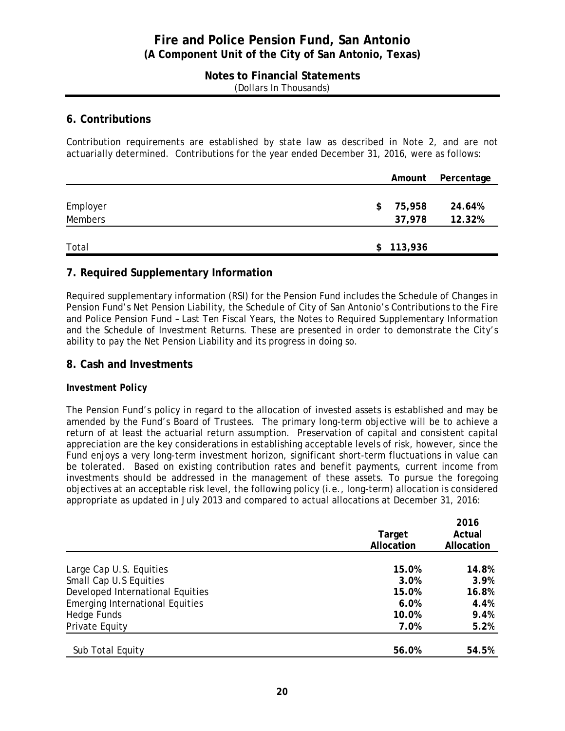#### **Notes to Financial Statements** (Dollars In Thousands)

#### **6. Contributions**

Contribution requirements are established by state law as described in Note 2, and are not actuarially determined. Contributions for the year ended December 31, 2016, were as follows:

|          |               | Amount Percentage |
|----------|---------------|-------------------|
|          |               |                   |
| Employer | 75,958<br>\$  | 24.64%            |
| Members  | 37,978        | 12.32%            |
|          |               |                   |
| Total    | 113,936<br>\$ |                   |

### **7. Required Supplementary Information**

Required supplementary information (RSI) for the Pension Fund includes the Schedule of Changes in Pension Fund's Net Pension Liability, the Schedule of City of San Antonio's Contributions to the Fire and Police Pension Fund – Last Ten Fiscal Years, the Notes to Required Supplementary Information and the Schedule of Investment Returns. These are presented in order to demonstrate the City's ability to pay the Net Pension Liability and its progress in doing so.

#### **8. Cash and Investments**

#### *Investment Policy*

The Pension Fund's policy in regard to the allocation of invested assets is established and may be amended by the Fund's Board of Trustees. The primary long-term objective will be to achieve a return of at least the actuarial return assumption. Preservation of capital and consistent capital appreciation are the key considerations in establishing acceptable levels of risk, however, since the Fund enjoys a very long-term investment horizon, significant short-term fluctuations in value can be tolerated. Based on existing contribution rates and benefit payments, current income from investments should be addressed in the management of these assets. To pursue the foregoing objectives at an acceptable risk level, the following policy (i.e., long-term) allocation is considered appropriate as updated in July 2013 and compared to actual allocations at December 31, 2016:

|                                        | Target<br>Allocation | 2016<br>Actual<br>Allocation |
|----------------------------------------|----------------------|------------------------------|
| Large Cap U.S. Equities                | 15.0%                | 14.8%                        |
| Small Cap U.S Equities                 | 3.0%                 | 3.9%                         |
| Developed International Equities       | 15.0%                | 16.8%                        |
| <b>Emerging International Equities</b> | 6.0%                 | 4.4%                         |
| Hedge Funds                            | 10.0%                | 9.4%                         |
| Private Equity                         | 7.0%                 | 5.2%                         |
| Sub Total Equity                       | 56.0%                | 54.5%                        |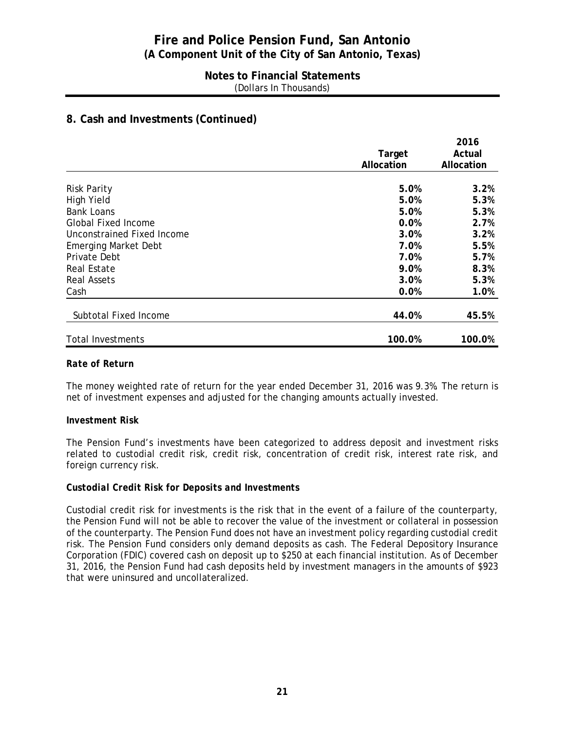#### **Notes to Financial Statements** (Dollars In Thousands)

### **8. Cash and Investments (Continued)**

|                             |            | 2016       |
|-----------------------------|------------|------------|
|                             | Target     | Actual     |
|                             | Allocation | Allocation |
|                             |            |            |
| <b>Risk Parity</b>          | 5.0%       | 3.2%       |
| <b>High Yield</b>           | 5.0%       | 5.3%       |
| <b>Bank Loans</b>           | 5.0%       | 5.3%       |
| <b>Global Fixed Income</b>  | 0.0%       | 2.7%       |
| Unconstrained Fixed Income  | 3.0%       | 3.2%       |
| <b>Emerging Market Debt</b> | 7.0%       | 5.5%       |
| <b>Private Debt</b>         | 7.0%       | 5.7%       |
| <b>Real Estate</b>          | 9.0%       | 8.3%       |
| <b>Real Assets</b>          | 3.0%       | 5.3%       |
| Cash                        | 0.0%       | 1.0%       |
| Subtotal Fixed Income       | 44.0%      | 45.5%      |
| <b>Total Investments</b>    | 100.0%     | 100.0%     |

#### *Rate of Return*

The money weighted rate of return for the year ended December 31, 2016 was 9.3%. The return is net of investment expenses and adjusted for the changing amounts actually invested.

#### *Investment Risk*

The Pension Fund's investments have been categorized to address deposit and investment risks related to custodial credit risk, credit risk, concentration of credit risk, interest rate risk, and foreign currency risk.

#### *Custodial Credit Risk for Deposits and Investments*

Custodial credit risk for investments is the risk that in the event of a failure of the counterparty, the Pension Fund will not be able to recover the value of the investment or collateral in possession of the counterparty. The Pension Fund does not have an investment policy regarding custodial credit risk. The Pension Fund considers only demand deposits as cash. The Federal Depository Insurance Corporation (FDIC) covered cash on deposit up to \$250 at each financial institution. As of December 31, 2016, the Pension Fund had cash deposits held by investment managers in the amounts of \$923 that were uninsured and uncollateralized.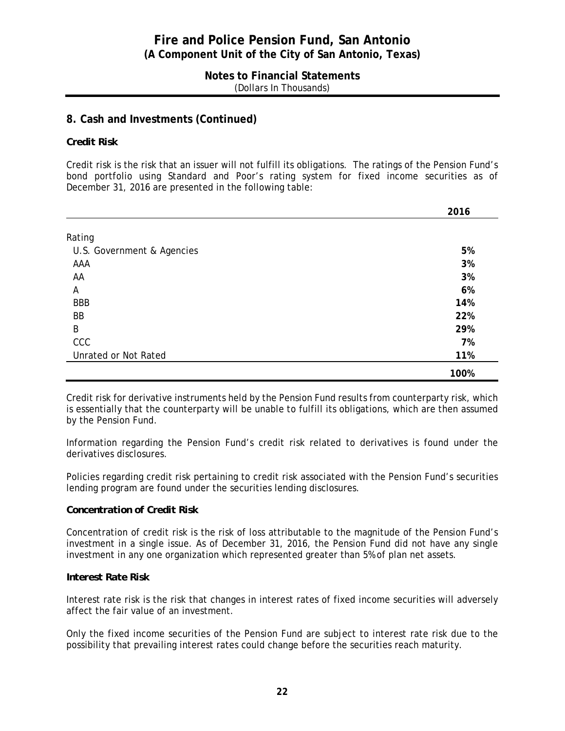#### **Notes to Financial Statements**  (Dollars In Thousands)

### **8. Cash and Investments (Continued)**

#### *Credit Risk*

Credit risk is the risk that an issuer will not fulfill its obligations. The ratings of the Pension Fund's bond portfolio using Standard and Poor's rating system for fixed income securities as of December 31, 2016 are presented in the following table:

|                            | 2016 |
|----------------------------|------|
|                            |      |
| Rating                     |      |
| U.S. Government & Agencies | 5%   |
| AAA                        | 3%   |
| AA                         | 3%   |
| Α                          | 6%   |
| <b>BBB</b>                 | 14%  |
| BB                         | 22%  |
| B                          | 29%  |
| CCC                        | 7%   |
| Unrated or Not Rated       | 11%  |
|                            | 100% |

Credit risk for derivative instruments held by the Pension Fund results from counterparty risk, which is essentially that the counterparty will be unable to fulfill its obligations, which are then assumed by the Pension Fund.

Information regarding the Pension Fund's credit risk related to derivatives is found under the derivatives disclosures.

Policies regarding credit risk pertaining to credit risk associated with the Pension Fund's securities lending program are found under the securities lending disclosures.

#### *Concentration of Credit Risk*

Concentration of credit risk is the risk of loss attributable to the magnitude of the Pension Fund's investment in a single issue. As of December 31, 2016, the Pension Fund did not have any single investment in any one organization which represented greater than 5% of plan net assets.

#### *Interest Rate Risk*

Interest rate risk is the risk that changes in interest rates of fixed income securities will adversely affect the fair value of an investment.

Only the fixed income securities of the Pension Fund are subject to interest rate risk due to the possibility that prevailing interest rates could change before the securities reach maturity.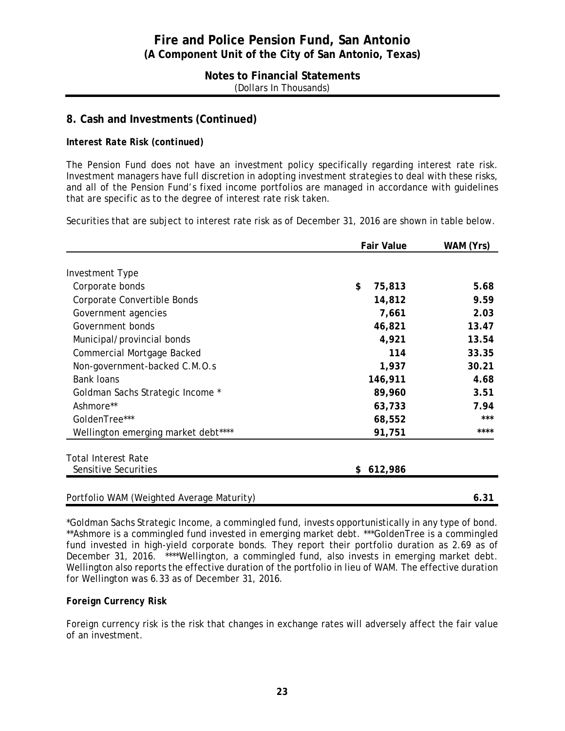#### **Notes to Financial Statements** (Dollars In Thousands)

### **8. Cash and Investments (Continued)**

#### *Interest Rate Risk (continued)*

The Pension Fund does not have an investment policy specifically regarding interest rate risk. Investment managers have full discretion in adopting investment strategies to deal with these risks, and all of the Pension Fund's fixed income portfolios are managed in accordance with guidelines that are specific as to the degree of interest rate risk taken.

Securities that are subject to interest rate risk as of December 31, 2016 are shown in table below.

|                                           | <b>Fair Value</b> | WAM (Yrs) |
|-------------------------------------------|-------------------|-----------|
|                                           |                   |           |
| <b>Investment Type</b>                    |                   |           |
| Corporate bonds                           | \$<br>75,813      | 5.68      |
| Corporate Convertible Bonds               | 14,812            | 9.59      |
| Government agencies                       | 7,661             | 2.03      |
| Government bonds                          | 46,821            | 13.47     |
| Municipal/provincial bonds                | 4,921             | 13.54     |
| <b>Commercial Mortgage Backed</b>         | 114               | 33.35     |
| Non-government-backed C.M.O.s             | 1,937             | 30.21     |
| <b>Bank loans</b>                         | 146,911           | 4.68      |
| Goldman Sachs Strategic Income *          | 89,960            | 3.51      |
| Ashmore**                                 | 63,733            | 7.94      |
| GoldenTree***                             | 68,552            | ***       |
| Wellington emerging market debt****       | 91,751            | ****      |
| <b>Total Interest Rate</b>                |                   |           |
| Sensitive Securities                      | 612,986<br>\$     |           |
| Portfolio WAM (Weighted Average Maturity) |                   | 6.31      |
|                                           |                   |           |

\*Goldman Sachs Strategic Income, a commingled fund, invests opportunistically in any type of bond. \*\*Ashmore is a commingled fund invested in emerging market debt. \*\*\*GoldenTree is a commingled fund invested in high-yield corporate bonds. They report their portfolio duration as 2.69 as of December 31, 2016. \*\*\*\*Wellington, a commingled fund, also invests in emerging market debt. Wellington also reports the effective duration of the portfolio in lieu of WAM. The effective duration for Wellington was 6.33 as of December 31, 2016.

#### *Foreign Currency Risk*

Foreign currency risk is the risk that changes in exchange rates will adversely affect the fair value of an investment.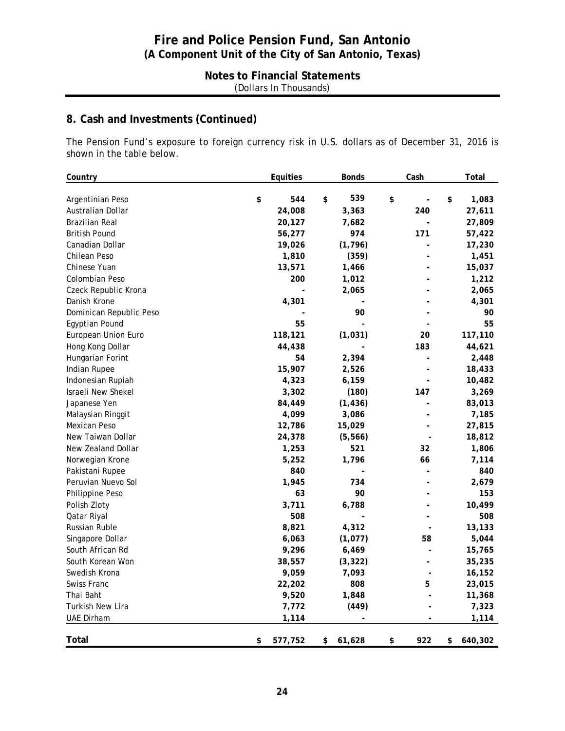### **Notes to Financial Statements** (Dollars In Thousands)

# **8. Cash and Investments (Continued)**

The Pension Fund's exposure to foreign currency risk in U.S. dollars as of December 31, 2016 is shown in the table below.

| Country                 | Equities      | <b>Bonds</b>   | Cash      | Total         |
|-------------------------|---------------|----------------|-----------|---------------|
| Argentinian Peso        | \$<br>544     | 539<br>\$      | \$        | \$<br>1,083   |
| Australian Dollar       | 24,008        | 3,363          | 240       | 27,611        |
| <b>Brazilian Real</b>   | 20,127        | 7,682          |           | 27,809        |
| <b>British Pound</b>    | 56,277        | 974            | 171       | 57,422        |
| Canadian Dollar         | 19,026        | (1, 796)       |           | 17,230        |
| Chilean Peso            | 1,810         | (359)          |           | 1,451         |
| Chinese Yuan            | 13,571        | 1,466          |           | 15,037        |
| Colombian Peso          | 200           | 1,012          |           | 1,212         |
| Czeck Republic Krona    |               | 2,065          |           | 2,065         |
| Danish Krone            | 4,301         | $\overline{a}$ |           | 4,301         |
| Dominican Republic Peso |               | 90             |           | 90            |
| Egyptian Pound          | 55            |                |           | 55            |
| European Union Euro     | 118,121       | (1,031)        | 20        | 117,110       |
| Hong Kong Dollar        | 44,438        |                | 183       | 44,621        |
| Hungarian Forint        | 54            | 2,394          |           | 2,448         |
| Indian Rupee            | 15,907        | 2,526          |           | 18,433        |
| Indonesian Rupiah       | 4,323         | 6,159          |           | 10,482        |
| Israeli New Shekel      | 3,302         | (180)          | 147       | 3,269         |
| Japanese Yen            | 84,449        | (1, 436)       |           | 83,013        |
| Malaysian Ringgit       | 4,099         | 3,086          |           | 7,185         |
| Mexican Peso            | 12,786        | 15,029         |           | 27,815        |
| New Taiwan Dollar       | 24,378        | (5, 566)       |           | 18,812        |
| New Zealand Dollar      | 1,253         | 521            | 32        | 1,806         |
| Norwegian Krone         | 5,252         | 1,796          | 66        | 7,114         |
| Pakistani Rupee         | 840           |                |           | 840           |
| Peruvian Nuevo Sol      | 1,945         | 734            |           | 2,679         |
| Philippine Peso         | 63            | 90             |           | 153           |
| Polish Zloty            | 3,711         | 6,788          |           | 10,499        |
| Qatar Riyal             | 508           |                |           | 508           |
| <b>Russian Ruble</b>    | 8,821         | 4,312          |           | 13,133        |
| Singapore Dollar        | 6,063         | (1,077)        | 58        | 5,044         |
| South African Rd        | 9,296         | 6,469          |           | 15,765        |
| South Korean Won        | 38,557        | (3, 322)       |           | 35,235        |
| Swedish Krona           | 9,059         | 7,093          |           | 16,152        |
| Swiss Franc             | 22,202        | 808            | 5         | 23,015        |
| Thai Baht               | 9,520         | 1,848          |           | 11,368        |
| <b>Turkish New Lira</b> | 7,772         | (449)          |           | 7,323         |
| <b>UAE Dirham</b>       | 1,114         |                |           | 1,114         |
| <b>Total</b>            | \$<br>577,752 | \$<br>61,628   | \$<br>922 | \$<br>640,302 |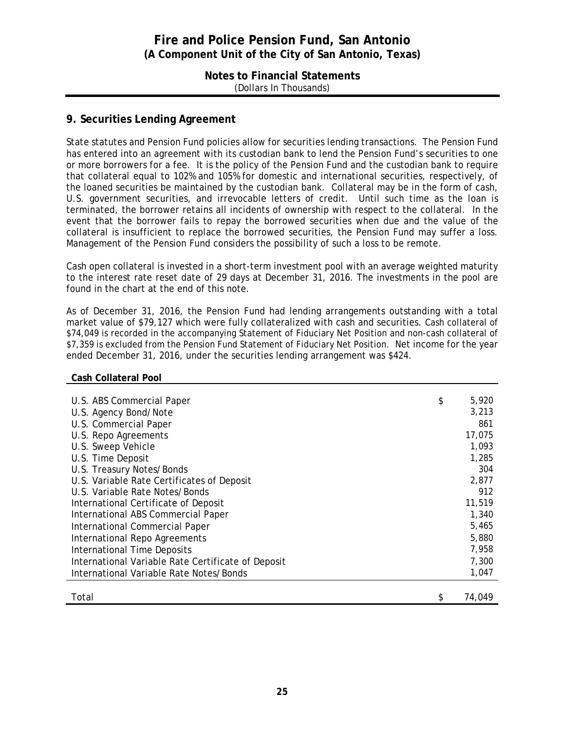#### **Notes to Financial Statements** (Dollars In Thousands)

#### **9. Securities Lending Agreement**

State statutes and Pension Fund policies allow for securities lending transactions. The Pension Fund has entered into an agreement with its custodian bank to lend the Pension Fund's securities to one or more borrowers for a fee. It is the policy of the Pension Fund and the custodian bank to require that collateral equal to 102% and 105% for domestic and international securities, respectively, of the loaned securities be maintained by the custodian bank. Collateral may be in the form of cash, U.S. government securities, and irrevocable letters of credit. Until such time as the loan is terminated, the borrower retains all incidents of ownership with respect to the collateral. In the event that the borrower fails to repay the borrowed securities when due and the value of the collateral is insufficient to replace the borrowed securities, the Pension Fund may suffer a loss. Management of the Pension Fund considers the possibility of such a loss to be remote.

Cash open collateral is invested in a short-term investment pool with an average weighted maturity to the interest rate reset date of 29 days at December 31, 2016. The investments in the pool are found in the chart at the end of this note.

As of December 31, 2016, the Pension Fund had lending arrangements outstanding with a total market value of \$79,127 which were fully collateralized with cash and securities. Cash collateral of \$74,049 is recorded in the accompanying Statement of Fiduciary Net Position and non-cash collateral of \$7,359 is excluded from the Pension Fund Statement of Fiduciary Net Position. Net income for the year ended December 31, 2016, under the securities lending arrangement was \$424.

#### **Cash Collateral Pool**

| U.S. ABS Commercial Paper                          | \$<br>5,920 |
|----------------------------------------------------|-------------|
| U.S. Agency Bond/Note                              | 3,213       |
| U.S. Commercial Paper                              | 861         |
| U.S. Repo Agreements                               | 17,075      |
| U.S. Sweep Vehicle                                 | 1,093       |
| U.S. Time Deposit                                  | 1,285       |
| U.S. Treasury Notes/Bonds                          | 304         |
| U.S. Variable Rate Certificates of Deposit         | 2,877       |
| U.S. Variable Rate Notes/Bonds                     | 912         |
| International Certificate of Deposit               | 11,519      |
| International ABS Commercial Paper                 | 1,340       |
| International Commercial Paper                     | 5,465       |
| International Repo Agreements                      | 5,880       |
| International Time Deposits                        | 7,958       |
| International Variable Rate Certificate of Deposit | 7,300       |
| International Variable Rate Notes/Bonds            | 1,047       |
|                                                    |             |
| Total                                              | 74.049      |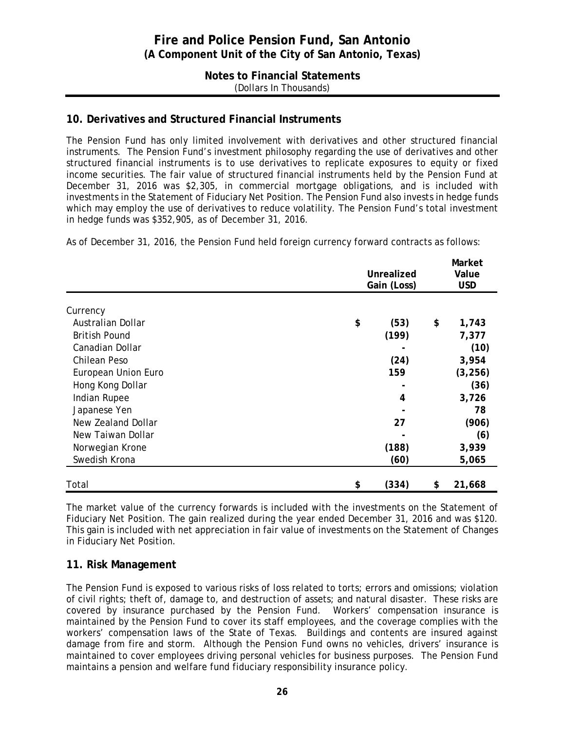#### **Notes to Financial Statements** (Dollars In Thousands)

### **10. Derivatives and Structured Financial Instruments**

The Pension Fund has only limited involvement with derivatives and other structured financial instruments. The Pension Fund's investment philosophy regarding the use of derivatives and other structured financial instruments is to use derivatives to replicate exposures to equity or fixed income securities. The fair value of structured financial instruments held by the Pension Fund at December 31, 2016 was \$2,305, in commercial mortgage obligations, and is included with investments in the Statement of Fiduciary Net Position. The Pension Fund also invests in hedge funds which may employ the use of derivatives to reduce volatility. The Pension Fund's total investment in hedge funds was \$352,905, as of December 31, 2016.

As of December 31, 2016, the Pension Fund held foreign currency forward contracts as follows:

|                      | <b>Unrealized</b><br>Gain (Loss) | Market<br>Value<br><b>USD</b> |              |
|----------------------|----------------------------------|-------------------------------|--------------|
| Currency             |                                  |                               |              |
| Australian Dollar    | \$                               | (53)                          | \$<br>1,743  |
| <b>British Pound</b> |                                  | (199)                         | 7,377        |
| Canadian Dollar      |                                  |                               | (10)         |
| Chilean Peso         |                                  | (24)                          | 3,954        |
| European Union Euro  |                                  | 159                           | (3, 256)     |
| Hong Kong Dollar     |                                  |                               | (36)         |
| Indian Rupee         |                                  | 4                             | 3,726        |
| Japanese Yen         |                                  |                               | 78           |
| New Zealand Dollar   |                                  | 27                            | (906)        |
| New Taiwan Dollar    |                                  |                               | (6)          |
| Norwegian Krone      |                                  | (188)                         | 3,939        |
| Swedish Krona        |                                  | (60)                          | 5,065        |
| Total                | \$                               | (334)                         | \$<br>21,668 |

The market value of the currency forwards is included with the investments on the Statement of Fiduciary Net Position. The gain realized during the year ended December 31, 2016 and was \$120. This gain is included with net appreciation in fair value of investments on the Statement of Changes in Fiduciary Net Position.

### **11. Risk Management**

The Pension Fund is exposed to various risks of loss related to torts; errors and omissions; violation of civil rights; theft of, damage to, and destruction of assets; and natural disaster. These risks are covered by insurance purchased by the Pension Fund. Workers' compensation insurance is maintained by the Pension Fund to cover its staff employees, and the coverage complies with the workers' compensation laws of the State of Texas. Buildings and contents are insured against damage from fire and storm. Although the Pension Fund owns no vehicles, drivers' insurance is maintained to cover employees driving personal vehicles for business purposes. The Pension Fund maintains a pension and welfare fund fiduciary responsibility insurance policy.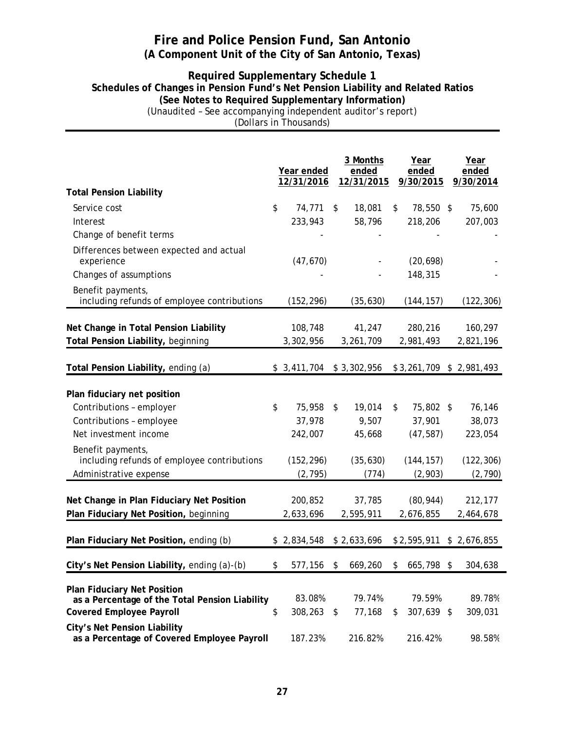#### **Required Supplementary Schedule 1 Schedules of Changes in Pension Fund's Net Pension Liability and Related Ratios (See Notes to Required Supplementary Information)** (Unaudited – See accompanying independent auditor's report) (Dollars in Thousands)

|                                                                                                                         | Year ended<br>12/31/2016  |                         | 3 Months<br>ended  | Year<br>ended              | Year<br>ended             |
|-------------------------------------------------------------------------------------------------------------------------|---------------------------|-------------------------|--------------------|----------------------------|---------------------------|
| <b>Total Pension Liability</b>                                                                                          |                           |                         | 12/31/2015         | 9/30/2015                  | 9/30/2014                 |
| Service cost                                                                                                            | \$<br>74,771              | \$                      | 18,081             | \$<br>78,550 \$            | 75,600                    |
| Interest                                                                                                                | 233,943                   |                         | 58,796             | 218,206                    | 207,003                   |
| Change of benefit terms                                                                                                 |                           |                         |                    |                            |                           |
| Differences between expected and actual<br>experience                                                                   | (47, 670)                 |                         |                    | (20, 698)                  |                           |
| Changes of assumptions                                                                                                  |                           |                         |                    | 148,315                    |                           |
| Benefit payments,<br>including refunds of employee contributions                                                        | (152, 296)                |                         | (35, 630)          | (144, 157)                 | (122, 306)                |
|                                                                                                                         |                           |                         |                    |                            |                           |
| Net Change in Total Pension Liability                                                                                   | 108,748                   |                         | 41,247             | 280,216                    | 160,297                   |
| Total Pension Liability, beginning                                                                                      | 3,302,956                 |                         | 3,261,709          | 2,981,493                  | 2,821,196                 |
| Total Pension Liability, ending (a)                                                                                     | $$3,411,704$ $$3,302,956$ |                         |                    |                            | \$3,261,709 \$2,981,493   |
| Plan fiduciary net position                                                                                             |                           |                         |                    |                            |                           |
| Contributions - employer                                                                                                | \$<br>75,958              | \$                      | 19,014             | \$<br>75,802 \$            | 76,146                    |
| Contributions - employee                                                                                                | 37,978                    |                         | 9,507              | 37,901                     | 38,073                    |
| Net investment income                                                                                                   | 242,007                   |                         | 45,668             | (47, 587)                  | 223,054                   |
| Benefit payments,<br>including refunds of employee contributions                                                        | (152, 296)                |                         | (35, 630)          | (144, 157)                 | (122, 306)                |
| Administrative expense                                                                                                  | (2, 795)                  |                         | (774)              | (2,903)                    | (2,790)                   |
| Net Change in Plan Fiduciary Net Position                                                                               | 200,852                   |                         | 37,785             | (80, 944)                  | 212,177                   |
| Plan Fiduciary Net Position, beginning                                                                                  | 2,633,696                 |                         | 2,595,911          | 2,676,855                  | 2,464,678                 |
| Plan Fiduciary Net Position, ending (b)                                                                                 | \$2,834,548               |                         | \$2,633,696        |                            | $$2,595,911$ \$ 2,676,855 |
| City's Net Pension Liability, ending (a)-(b)                                                                            | \$                        |                         | 577.156 \$ 669.260 | \$665,798                  | 304,638                   |
| <b>Plan Fiduciary Net Position</b><br>as a Percentage of the Total Pension Liability<br><b>Covered Employee Payroll</b> | \$<br>83.08%<br>308,263   | $\sqrt[6]{\frac{1}{2}}$ | 79.74%<br>77,168   | \$<br>79.59%<br>307,639 \$ | 89.78%<br>309,031         |
| <b>City's Net Pension Liability</b><br>as a Percentage of Covered Employee Payroll                                      | 187.23%                   |                         | 216.82%            | 216.42%                    | 98.58%                    |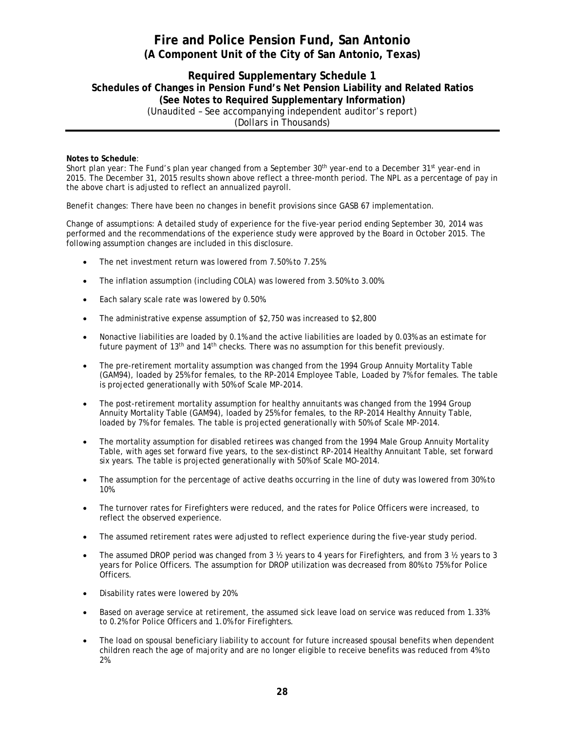#### **Required Supplementary Schedule 1 Schedules of Changes in Pension Fund's Net Pension Liability and Related Ratios (See Notes to Required Supplementary Information)** (Unaudited – See accompanying independent auditor's report) (Dollars in Thousands)

#### **Notes to Schedule**:

*Short plan year:* The Fund's plan year changed from a September 30th year-end to a December 31st year-end in 2015. The December 31, 2015 results shown above reflect a three-month period. The NPL as a percentage of pay in the above chart is adjusted to reflect an annualized payroll.

*Benefit changes:* There have been no changes in benefit provisions since GASB 67 implementation.

*Change of assumptions:* A detailed study of experience for the five-year period ending September 30, 2014 was performed and the recommendations of the experience study were approved by the Board in October 2015. The following assumption changes are included in this disclosure.

- The net investment return was lowered from 7.50% to 7.25%.
- The inflation assumption (including COLA) was lowered from 3.50% to 3.00%.
- Each salary scale rate was lowered by 0.50%.
- The administrative expense assumption of \$2,750 was increased to \$2,800
- Nonactive liabilities are loaded by 0.1% and the active liabilities are loaded by 0.03% as an estimate for future payment of 13th and 14th checks. There was no assumption for this benefit previously.
- The pre-retirement mortality assumption was changed from the 1994 Group Annuity Mortality Table (GAM94), loaded by 25% for females, to the RP-2014 Employee Table, Loaded by 7% for females. The table is projected generationally with 50% of Scale MP-2014.
- The post-retirement mortality assumption for healthy annuitants was changed from the 1994 Group Annuity Mortality Table (GAM94), loaded by 25% for females, to the RP-2014 Healthy Annuity Table, loaded by 7% for females. The table is projected generationally with 50% of Scale MP-2014.
- The mortality assumption for disabled retirees was changed from the 1994 Male Group Annuity Mortality Table, with ages set forward five years, to the sex-distinct RP-2014 Healthy Annuitant Table, set forward six years. The table is projected generationally with 50% of Scale MO-2014.
- The assumption for the percentage of active deaths occurring in the line of duty was lowered from 30% to 10%.
- The turnover rates for Firefighters were reduced, and the rates for Police Officers were increased, to reflect the observed experience.
- The assumed retirement rates were adjusted to reflect experience during the five-year study period.
- The assumed DROP period was changed from 3 ½ years to 4 years for Firefighters, and from 3 ½ years to 3 years for Police Officers. The assumption for DROP utilization was decreased from 80% to 75% for Police Officers.
- Disability rates were lowered by 20%.
- Based on average service at retirement, the assumed sick leave load on service was reduced from 1.33% to 0.2% for Police Officers and 1.0% for Firefighters.
- The load on spousal beneficiary liability to account for future increased spousal benefits when dependent children reach the age of majority and are no longer eligible to receive benefits was reduced from 4% to 2%.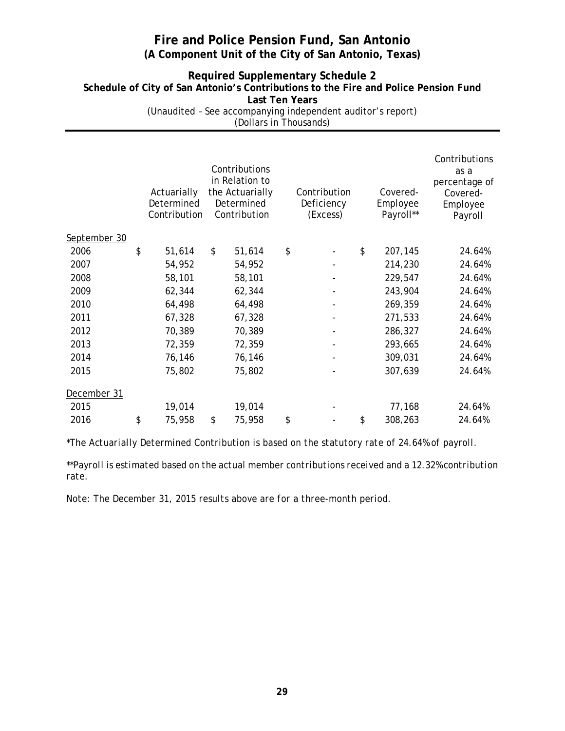### **Required Supplementary Schedule 2 Schedule of City of San Antonio's Contributions to the Fire and Police Pension Fund Last Ten Years** (Unaudited – See accompanying independent auditor's report)

(Dollars in Thousands)

|              | Actuarially<br>Determined<br>Contribution | Contributions<br>in Relation to<br>the Actuarially<br>Determined<br>Contribution | Contribution<br>Deficiency<br>(Excess) | Covered-<br>Employee<br>Payroll** | Contributions<br>as a<br>percentage of<br>Covered-<br>Employee<br>Payroll |
|--------------|-------------------------------------------|----------------------------------------------------------------------------------|----------------------------------------|-----------------------------------|---------------------------------------------------------------------------|
| September 30 |                                           |                                                                                  |                                        |                                   |                                                                           |
| 2006         | \$<br>51,614                              | \$<br>51,614                                                                     | \$                                     | \$<br>207,145                     | 24.64%                                                                    |
| 2007         | 54,952                                    | 54,952                                                                           |                                        | 214,230                           | 24.64%                                                                    |
| 2008         | 58,101                                    | 58,101                                                                           |                                        | 229,547                           | 24.64%                                                                    |
| 2009         | 62,344                                    | 62,344                                                                           |                                        | 243,904                           | 24.64%                                                                    |
| 2010         | 64,498                                    | 64,498                                                                           |                                        | 269,359                           | 24.64%                                                                    |
| 2011         | 67,328                                    | 67,328                                                                           |                                        | 271,533                           | 24.64%                                                                    |
| 2012         | 70,389                                    | 70,389                                                                           |                                        | 286,327                           | 24.64%                                                                    |
| 2013         | 72,359                                    | 72,359                                                                           |                                        | 293,665                           | 24.64%                                                                    |
| 2014         | 76,146                                    | 76,146                                                                           |                                        | 309,031                           | 24.64%                                                                    |
| 2015         | 75,802                                    | 75,802                                                                           |                                        | 307,639                           | 24.64%                                                                    |
| December 31  |                                           |                                                                                  |                                        |                                   |                                                                           |
| 2015         | 19,014                                    | 19,014                                                                           |                                        | 77,168                            | 24.64%                                                                    |
| 2016         | \$<br>75,958                              | \$<br>75,958                                                                     | \$                                     | \$<br>308,263                     | 24.64%                                                                    |

\**The Actuarially Determined Contribution is based on the statutory rate of 24.64% of payroll.*

*\*\*Payroll is estimated based on the actual member contributions received and a 12.32% contribution rate.*

*Note: The December 31, 2015 results above are for a three-month period.*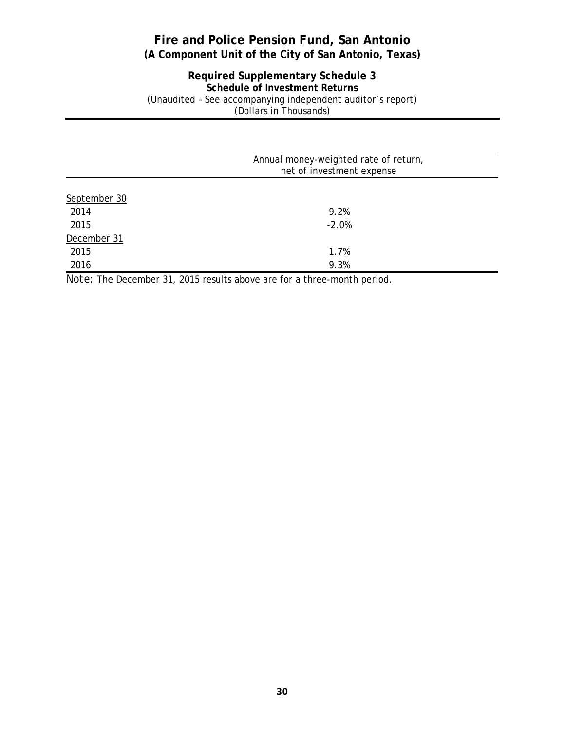#### **Required Supplementary Schedule 3 Schedule of Investment Returns** (Unaudited – See accompanying independent auditor's report) (Dollars in Thousands)

|              | Annual money-weighted rate of return, |  |
|--------------|---------------------------------------|--|
|              | net of investment expense             |  |
|              |                                       |  |
| September 30 |                                       |  |
| 2014         | 9.2%                                  |  |
| 2015         | $-2.0%$                               |  |
| December 31  |                                       |  |
| 2015         | 1.7%                                  |  |
| 2016         | 9.3%                                  |  |

*Note:* The December 31, 2015 results above are for a three-month period.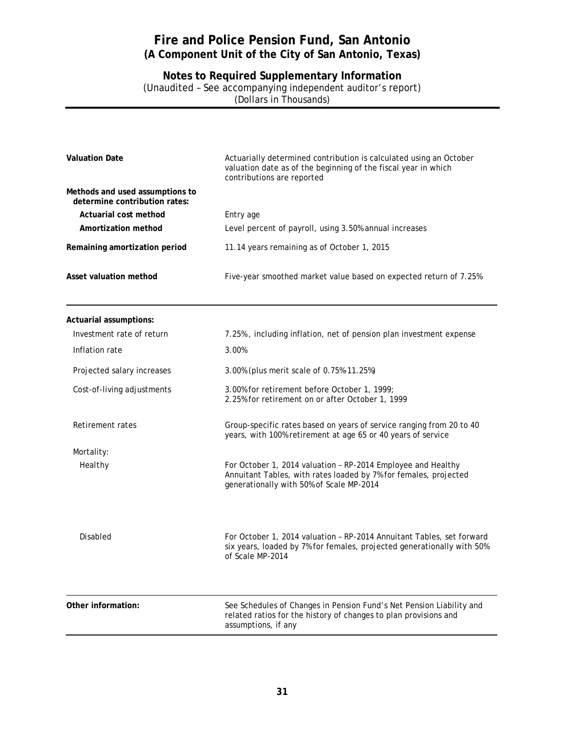**Notes to Required Supplementary Information** (Unaudited – See accompanying independent auditor's report) (Dollars in Thousands)

| <b>Valuation Date</b>                                            | Actuarially determined contribution is calculated using an October<br>valuation date as of the beginning of the fiscal year in which<br>contributions are reported           |
|------------------------------------------------------------------|------------------------------------------------------------------------------------------------------------------------------------------------------------------------------|
| Methods and used assumptions to<br>determine contribution rates: |                                                                                                                                                                              |
| Actuarial cost method                                            | Entry age                                                                                                                                                                    |
| Amortization method                                              | Level percent of payroll, using 3.50% annual increases                                                                                                                       |
| Remaining amortization period                                    | 11.14 years remaining as of October 1, 2015                                                                                                                                  |
| Asset valuation method                                           | Five-year smoothed market value based on expected return of 7.25%                                                                                                            |
| Actuarial assumptions:                                           |                                                                                                                                                                              |
| Investment rate of return                                        | 7.25%, including inflation, net of pension plan investment expense                                                                                                           |
| Inflation rate                                                   | 3.00%                                                                                                                                                                        |
| Projected salary increases                                       | 3.00% (plus merit scale of 0.75%-11.25%)                                                                                                                                     |
| Cost-of-living adjustments                                       | 3.00% for retirement before October 1, 1999;<br>2.25% for retirement on or after October 1, 1999                                                                             |
| Retirement rates                                                 | Group-specific rates based on years of service ranging from 20 to 40<br>years, with 100% retirement at age 65 or 40 years of service                                         |
| Mortality:                                                       |                                                                                                                                                                              |
| Healthy                                                          | For October 1, 2014 valuation - RP-2014 Employee and Healthy<br>Annuitant Tables, with rates loaded by 7% for females, projected<br>generationally with 50% of Scale MP-2014 |
| <b>Disabled</b>                                                  | For October 1, 2014 valuation - RP-2014 Annuitant Tables, set forward<br>six years, loaded by 7% for females, projected generationally with 50%<br>of Scale MP-2014          |
| Other information:                                               | See Schedules of Changes in Pension Fund's Net Pension Liability and<br>related ratios for the history of changes to plan provisions and<br>assumptions, if any              |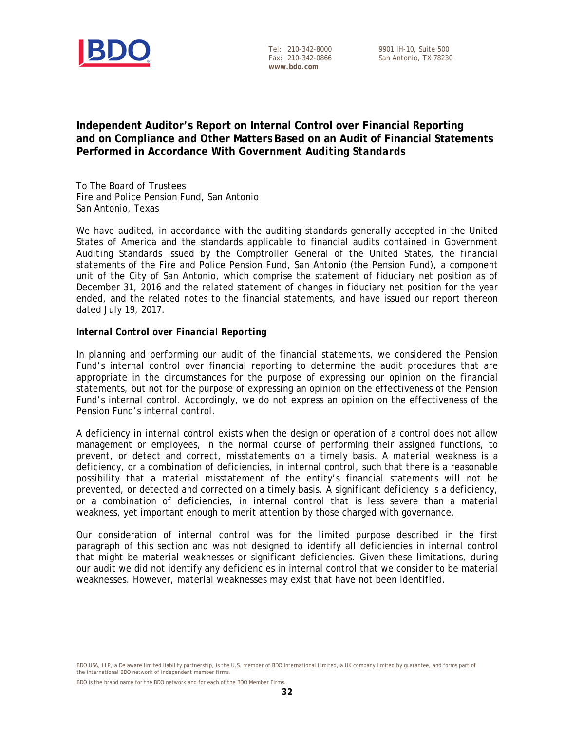

Tel: 210-342-8000 Fax: 210-342-0866 **www.bdo.com**

### **Independent Auditor's Report on Internal Control over Financial Reporting and on Compliance and Other Matters Based on an Audit of Financial Statements Performed in Accordance With** *Government Auditing Standards*

To The Board of Trustees Fire and Police Pension Fund, San Antonio San Antonio, Texas

We have audited, in accordance with the auditing standards generally accepted in the United States of America and the standards applicable to financial audits contained in *Government Auditing Standards* issued by the Comptroller General of the United States, the financial statements of the Fire and Police Pension Fund, San Antonio (the Pension Fund), a component unit of the City of San Antonio, which comprise the statement of fiduciary net position as of December 31, 2016 and the related statement of changes in fiduciary net position for the year ended, and the related notes to the financial statements, and have issued our report thereon dated July 19, 2017.

#### *Internal Control over Financial Reporting*

In planning and performing our audit of the financial statements, we considered the Pension Fund's internal control over financial reporting to determine the audit procedures that are appropriate in the circumstances for the purpose of expressing our opinion on the financial statements, but not for the purpose of expressing an opinion on the effectiveness of the Pension Fund's internal control. Accordingly, we do not express an opinion on the effectiveness of the Pension Fund's internal control.

A *deficiency in internal control* exists when the design or operation of a control does not allow management or employees, in the normal course of performing their assigned functions, to prevent, or detect and correct, misstatements on a timely basis. A *material weakness* is a deficiency, or a combination of deficiencies, in internal control, such that there is a reasonable possibility that a material misstatement of the entity's financial statements will not be prevented, or detected and corrected on a timely basis*. A significant deficiency* is a deficiency, or a combination of deficiencies, in internal control that is less severe than a material weakness, yet important enough to merit attention by those charged with governance.

Our consideration of internal control was for the limited purpose described in the first paragraph of this section and was not designed to identify all deficiencies in internal control that might be material weaknesses or significant deficiencies. Given these limitations, during our audit we did not identify any deficiencies in internal control that we consider to be material weaknesses. However, material weaknesses may exist that have not been identified.

BDO USA, LLP, a Delaware limited liability partnership, is the U.S. member of BDO International Limited, a UK company limited by guarantee, and forms part of the international BDO network of independent member firms.